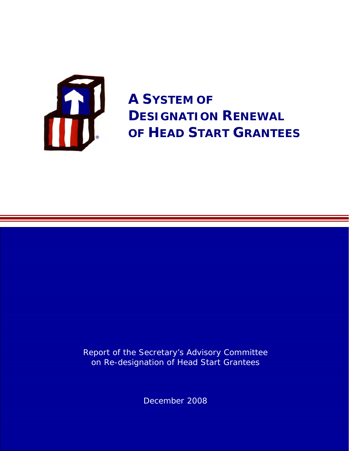

**A SYSTEM OF DESIGNATION RENEWAL OF HEAD START GRANTEES** 

Report of the Secretary's Advisory Committee on Re-designation of Head Start Grantees

December 2008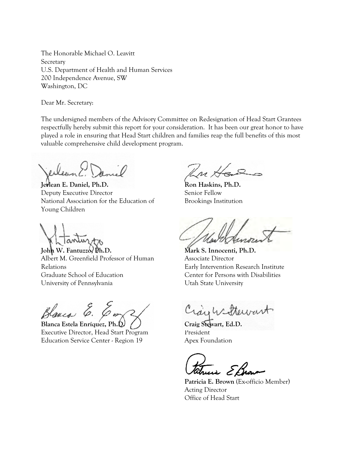The Honorable Michael O. Leavitt **Secretary** U.S. Department of Health and Human Services 200 Independence Avenue, SW Washington, DC

Dear Mr. Secretary:

The undersigned members of the Advisory Committee on Redesignation of Head Start Grantees respectfully hereby submit this report for your consideration. It has been our great honor to have played a role in ensuring that Head Start children and families reap the full benefits of this most valuable comprehensive child development program.

Jerlean E. Daniel, Ph.D. **Ron Haskins, Ph.D.** Deputy Executive Director Senior Fellow National Association for the Education of Brookings Institution Young Children

**John W. Fantuzzo, Ph.D. Mark S. Innocenti, Ph.D.**  Albert M. Greenfield Professor of Human Associate Director Relations Early Intervention Research Institute Graduate School of Education Center for Persons with Disabilities University of Pennsylvania View Utah State University



**Blanca Estela Enríquez, Ph.D.**  Executive Director, Head Start Program Education Service Center - Region 19

Kri H

President Apex Foundation **Craig Stewart, Ed.D.**

**Patricia E. Brown** (Ex-officio Member) Acting Director Office of Head Start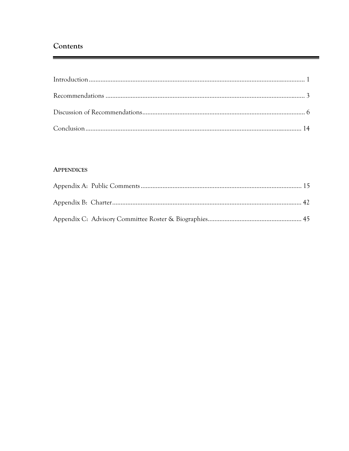# Contents

## **APPENDICES**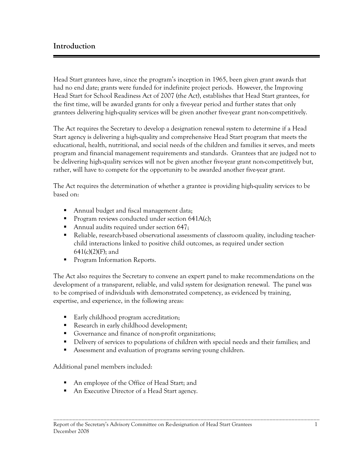# **Introduction**

Head Start grantees have, since the program's inception in 1965, been given grant awards that had no end date; grants were funded for indefinite project periods. However, the Improving Head Start for School Readiness Act of 2007 (the Act), establishes that Head Start grantees, for the first time, will be awarded grants for only a five-year period and further states that only grantees delivering high-quality services will be given another five-year grant non-competitively.

The Act requires the Secretary to develop a designation renewal system to determine if a Head Start agency is delivering a high-quality and comprehensive Head Start program that meets the educational, health, nutritional, and social needs of the children and families it serves, and meets program and financial management requirements and standards. Grantees that are judged not to be delivering high-quality services will not be given another five-year grant non-competitively but, rather, will have to compete for the opportunity to be awarded another five-year grant.

The Act requires the determination of whether a grantee is providing high-quality services to be based on:

- Annual budget and fiscal management data;
- Program reviews conducted under section  $641A(c)$ ;
- Annual audits required under section 647;
- Reliable, research-based observational assessments of classroom quality, including teacherchild interactions linked to positive child outcomes, as required under section  $641(c)(2)(F)$ ; and
- Program Information Reports.

The Act also requires the Secretary to convene an expert panel to make recommendations on the development of a transparent, reliable, and valid system for designation renewal. The panel was to be comprised of individuals with demonstrated competency, as evidenced by training, expertise, and experience, in the following areas:

- Early childhood program accreditation;
- Research in early childhood development;
- Governance and finance of non-profit organizations;
- Delivery of services to populations of children with special needs and their families; and

\_\_\_\_\_\_\_\_\_\_\_\_\_\_\_\_\_\_\_\_\_\_\_\_\_\_\_\_\_\_\_\_\_\_\_\_\_\_\_\_\_\_\_\_\_\_\_\_\_\_\_\_\_\_\_\_\_\_\_\_\_\_\_\_\_\_\_\_\_\_\_\_\_\_\_\_\_\_\_\_\_\_\_\_\_

Assessment and evaluation of programs serving young children.

Additional panel members included:

- An employee of the Office of Head Start; and
- An Executive Director of a Head Start agency.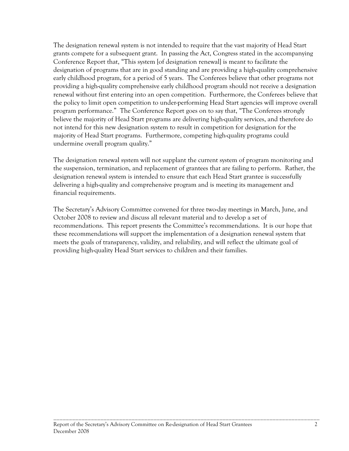The designation renewal system is not intended to require that the vast majority of Head Start grants compete for a subsequent grant. In passing the Act, Congress stated in the accompanying Conference Report that, "This system [of designation renewal] is meant to facilitate the designation of programs that are in good standing and are providing a high-quality comprehensive early childhood program, for a period of 5 years. The Conferees believe that other programs not providing a high-quality comprehensive early childhood program should not receive a designation renewal without first entering into an open competition. Furthermore, the Conferees believe that the policy to limit open competition to under-performing Head Start agencies will improve overall program performance." The Conference Report goes on to say that, "The Conferees strongly believe the majority of Head Start programs are delivering high-quality services, and therefore do not intend for this new designation system to result in competition for designation for the majority of Head Start programs. Furthermore, competing high-quality programs could undermine overall program quality."

The designation renewal system will not supplant the current system of program monitoring and the suspension, termination, and replacement of grantees that are failing to perform. Rather, the designation renewal system is intended to ensure that each Head Start grantee is successfully delivering a high-quality and comprehensive program and is meeting its management and financial requirements.

The Secretary's Advisory Committee convened for three two-day meetings in March, June, and October 2008 to review and discuss all relevant material and to develop a set of recommendations. This report presents the Committee's recommendations. It is our hope that these recommendations will support the implementation of a designation renewal system that meets the goals of transparency, validity, and reliability, and will reflect the ultimate goal of providing high-quality Head Start services to children and their families.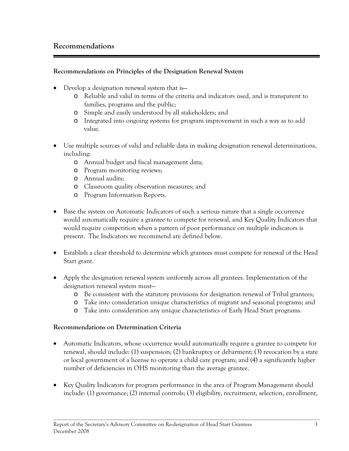# **Recommendations**

# **Recommendations on Principles of the Designation Renewal System**

- Develop a designation renewal system that is
	- o Reliable and valid in terms of the criteria and indicators used, and is transparent to families, programs and the public;
	- o Simple and easily understood by all stakeholders; and
	- o Integrated into ongoing systems for program improvement in such a way as to add value.
- Use multiple sources of valid and reliable data in making designation renewal determinations, including:
	- o Annual budget and fiscal management data;
	- o Program monitoring reviews;
	- o Annual audits;
	- o Classroom quality observation measures; and
	- o Program Information Reports.
- Base the system on Automatic Indicators of such a serious nature that a single occurrence would automatically require a grantee to compete for renewal, and Key Quality Indicators that would require competition when a pattern of poor performance on multiple indicators is present. The Indicators we recommend are defined below.
- Establish a clear threshold to determine which grantees must compete for renewal of the Head Start grant.
- Apply the designation renewal system uniformly across all grantees. Implementation of the designation renewal system must
	- o Be consistent with the statutory provisions for designation renewal of Tribal grantees;
	- o Take into consideration unique characteristics of migrant and seasonal programs; and
	- o Take into consideration any unique characteristics of Early Head Start programs.

## **Recommendations on Determination Criteria**

- Automatic Indicators, whose occurrence would automatically require a grantee to compete for renewal, should include: (1) suspension; (2) bankruptcy or debarment; (3) revocation by a state or local government of a license to operate a child care program; and (4) a significantly higher number of deficiencies in OHS monitoring than the average grantee.
- Key Quality Indicators for program performance in the area of Program Management should include: (1) governance; (2) internal controls; (3) eligibility, recruitment, selection, enrollment,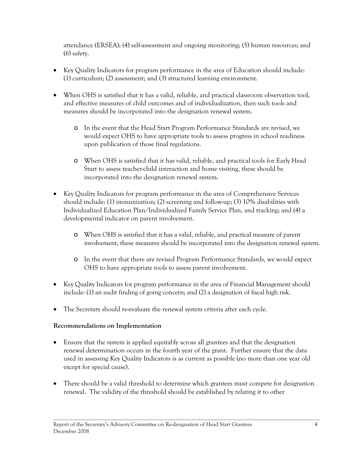attendance (ERSEA); (4) self-assessment and ongoing monitoring; (5) human resources; and (6) safety.

- Key Quality Indicators for program performance in the area of Education should include: (1) curriculum; (2) assessment; and (3) structured learning environment.
- When OHS is satisfied that it has a valid, reliable, and practical classroom observation tool, and effective measures of child outcomes and of individualization, then such tools and measures should be incorporated into the designation renewal system.
	- o In the event that the Head Start Program Performance Standards are revised, we would expect OHS to have appropriate tools to assess progress in school readiness upon publication of those final regulations.
	- o When OHS is satisfied that it has valid, reliable, and practical tools for Early Head Start to assess teacher-child interaction and home visiting, these should be incorporated into the designation renewal system.
- Key Quality Indicators for program performance in the area of Comprehensive Services should include: (1) immunization; (2) screening and follow-up; (3) 10% disabilities with Individualized Education Plan/Individualized Family Service Plan, and tracking; and (4) a developmental indicator on parent involvement.
	- o When OHS is satisfied that it has a valid, reliable, and practical measure of parent involvement, these measures should be incorporated into the designation renewal system.
	- o In the event that there are revised Program Performance Standards, we would expect OHS to have appropriate tools to assess parent involvement.
- Key Quality Indicators for program performance in the area of Financial Management should include: (1) an audit finding of going concern; and (2) a designation of fiscal high risk.
- The Secretary should re-evaluate the renewal system criteria after each cycle.

# **Recommendations on Implementation**

- Ensure that the system is applied equitably across all grantees and that the designation renewal determination occurs in the fourth year of the grant. Further ensure that the data used in assessing Key Quality Indicators is as current as possible (no more than one year old except for special cause).
- There should be a valid threshold to determine which grantees must compete for designation renewal. The validity of the threshold should be established by relating it to other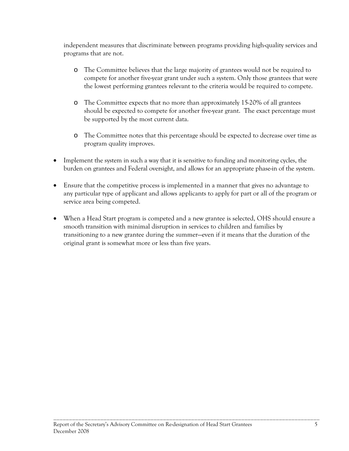independent measures that discriminate between programs providing high-quality services and programs that are not.

- o The Committee believes that the large majority of grantees would not be required to compete for another five-year grant under such a system. Only those grantees that were the lowest performing grantees relevant to the criteria would be required to compete.
- o The Committee expects that no more than approximately 15-20% of all grantees should be expected to compete for another five-year grant. The exact percentage must be supported by the most current data.
- o The Committee notes that this percentage should be expected to decrease over time as program quality improves.
- Implement the system in such a way that it is sensitive to funding and monitoring cycles, the burden on grantees and Federal oversight, and allows for an appropriate phase-in of the system.
- Ensure that the competitive process is implemented in a manner that gives no advantage to any particular type of applicant and allows applicants to apply for part or all of the program or service area being competed.
- When a Head Start program is competed and a new grantee is selected, OHS should ensure a smooth transition with minimal disruption in services to children and families by transitioning to a new grantee during the summer—even if it means that the duration of the original grant is somewhat more or less than five years.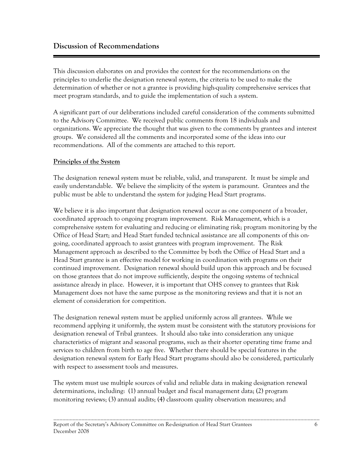This discussion elaborates on and provides the context for the recommendations on the principles to underlie the designation renewal system, the criteria to be used to make the determination of whether or not a grantee is providing high-quality comprehensive services that meet program standards, and to guide the implementation of such a system.

A significant part of our deliberations included careful consideration of the comments submitted to the Advisory Committee. We received public comments from 18 individuals and organizations. We appreciate the thought that was given to the comments by grantees and interest groups. We considered all the comments and incorporated some of the ideas into our recommendations. All of the comments are attached to this report.

# **Principles of the System**

The designation renewal system must be reliable, valid, and transparent. It must be simple and easily understandable. We believe the simplicity of the system is paramount. Grantees and the public must be able to understand the system for judging Head Start programs.

We believe it is also important that designation renewal occur as one component of a broader, coordinated approach to ongoing program improvement. Risk Management, which is a comprehensive system for evaluating and reducing or eliminating risk; program monitoring by the Office of Head Start; and Head Start funded technical assistance are all components of this ongoing, coordinated approach to assist grantees with program improvement. The Risk Management approach as described to the Committee by both the Office of Head Start and a Head Start grantee is an effective model for working in coordination with programs on their continued improvement. Designation renewal should build upon this approach and be focused on those grantees that do not improve sufficiently, despite the ongoing systems of technical assistance already in place. However, it is important that OHS convey to grantees that Risk Management does not have the same purpose as the monitoring reviews and that it is not an element of consideration for competition.

The designation renewal system must be applied uniformly across all grantees. While we recommend applying it uniformly, the system must be consistent with the statutory provisions for designation renewal of Tribal grantees. It should also take into consideration any unique characteristics of migrant and seasonal programs, such as their shorter operating time frame and services to children from birth to age five. Whether there should be special features in the designation renewal system for Early Head Start programs should also be considered, particularly with respect to assessment tools and measures.

The system must use multiple sources of valid and reliable data in making designation renewal determinations, including: (1) annual budget and fiscal management data; (2) program monitoring reviews; (3) annual audits; (4) classroom quality observation measures; and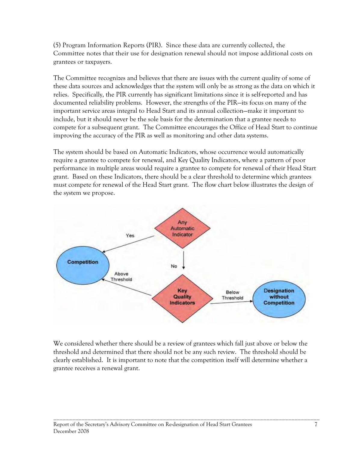grantees or taxpayers. (5) Program Information Reports (PIR). Since these data are currently collected, the Committee notes that their use for designation renewal should not impose additional costs on

The Committee recognizes and believes that there are issues with the current quality of some of these data sources and acknowledges that the system will only be as strong as the data on which it relies. Specifically, the PIR currently has significant limitations since it is self-reported and has documented reliability problems. However, the strengths of the PIR—its focus on many of the important service areas integral to Head Start and its annual collection—make it important to include, but it should never be the sole basis for the determination that a grantee needs to compete for a subsequent grant. The Committee encourages the Office of Head Start to continue improving the accuracy of the PIR as well as monitoring and other data systems.

The system should be based on Automatic Indicators, whose occurrence would automatically require a grantee to compete for renewal, and Key Quality Indicators, where a pattern of poor performance in multiple areas would require a grantee to compete for renewal of their Head Start grant. Based on these Indicators, there should be a clear threshold to determine which grantees must compete for renewal of the Head Start grant. The flow chart below illustrates the design of the system we propose.



We considered whether there should be a review of grantees which fall just above or below the threshold and determined that there should not be any such review. The threshold should be clearly established. It is important to note that the competition itself will determine whether a grantee receives a renewal grant.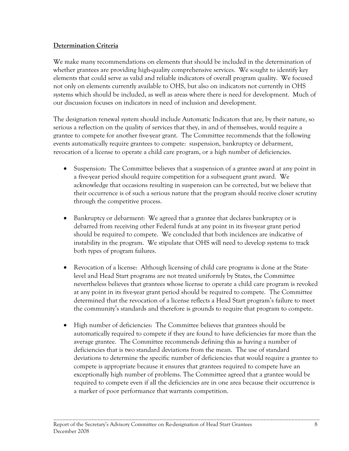# **Determination Criteria**

We make many recommendations on elements that should be included in the determination of whether grantees are providing high-quality comprehensive services. We sought to identify key elements that could serve as valid and reliable indicators of overall program quality. We focused not only on elements currently available to OHS, but also on indicators not currently in OHS systems which should be included, as well as areas where there is need for development. Much of our discussion focuses on indicators in need of inclusion and development.

The designation renewal system should include Automatic Indicators that are, by their nature, so serious a reflection on the quality of services that they, in and of themselves, would require a grantee to compete for another five-year grant. The Committee recommends that the following events automatically require grantees to compete: suspension, bankruptcy or debarment, revocation of a license to operate a child care program, or a high number of deficiencies.

- Suspension: The Committee believes that a suspension of a grantee award at any point in a five-year period should require competition for a subsequent grant award. We acknowledge that occasions resulting in suspension can be corrected, but we believe that their occurrence is of such a serious nature that the program should receive closer scrutiny through the competitive process.
- Bankruptcy or debarment: We agreed that a grantee that declares bankruptcy or is debarred from receiving other Federal funds at any point in its five-year grant period should be required to compete. We concluded that both incidences are indicative of instability in the program. We stipulate that OHS will need to develop systems to track both types of program failures.
- Revocation of a license: Although licensing of child care programs is done at the Statelevel and Head Start programs are not treated uniformly by States, the Committee nevertheless believes that grantees whose license to operate a child care program is revoked at any point in its five-year grant period should be required to compete. The Committee determined that the revocation of a license reflects a Head Start program's failure to meet the community's standards and therefore is grounds to require that program to compete.
- High number of deficiencies: The Committee believes that grantees should be automatically required to compete if they are found to have deficiencies far more than the average grantee. The Committee recommends defining this as having a number of deficiencies that is two standard deviations from the mean. The use of standard deviations to determine the specific number of deficiencies that would require a grantee to compete is appropriate because it ensures that grantees required to compete have an exceptionally high number of problems. The Committee agreed that a grantee would be required to compete even if all the deficiencies are in one area because their occurrence is a marker of poor performance that warrants competition.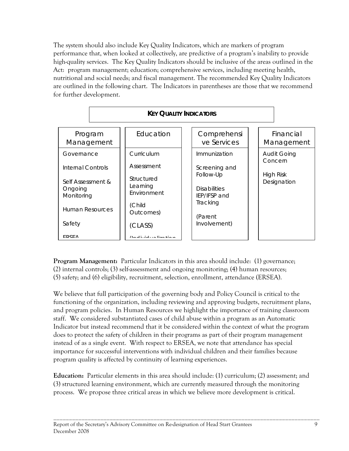The system should also include Key Quality Indicators, which are markers of program performance that, when looked at collectively, are predictive of a program's inability to provide high-quality services. The Key Quality Indicators should be inclusive of the areas outlined in the Act: program management; education; comprehensive services, including meeting health, nutritional and social needs; and fiscal management. The recommended Key Quality Indicators are outlined in the following chart. The Indicators in parentheses are those that we recommend for further development.



**Program Management:** Particular Indicators in this area should include: (1) governance; (2) internal controls; (3) self-assessment and ongoing monitoring; (4) human resources; (5) safety; and (6) eligibility, recruitment, selection, enrollment, attendance (ERSEA).

We believe that full participation of the governing body and Policy Council is critical to the functioning of the organization, including reviewing and approving budgets, recruitment plans, and program policies. In Human Resources we highlight the importance of training classroom staff. We considered substantiated cases of child abuse within a program as an Automatic Indicator but instead recommend that it be considered within the context of what the program does to protect the safety of children in their programs as part of their program management instead of as a single event. With respect to ERSEA, we note that attendance has special importance for successful interventions with individual children and their families because program quality is affected by continuity of learning experiences.

**Education:** Particular elements in this area should include: (1) curriculum; (2) assessment; and (3) structured learning environment, which are currently measured through the monitoring process. We propose three critical areas in which we believe more development is critical.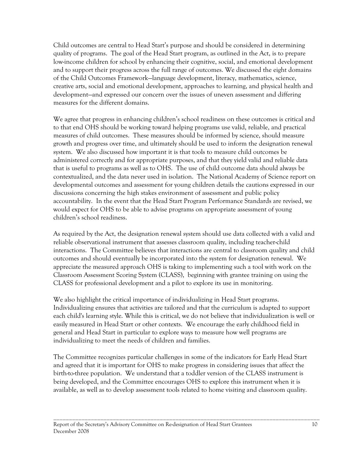Child outcomes are central to Head Start's purpose and should be considered in determining quality of programs. The goal of the Head Start program, as outlined in the Act, is to prepare low-income children for school by enhancing their cognitive, social, and emotional development and to support their progress across the full range of outcomes. We discussed the eight domains of the Child Outcomes Framework—language development, literacy, mathematics, science, creative arts, social and emotional development, approaches to learning, and physical health and development—and expressed our concern over the issues of uneven assessment and differing measures for the different domains.

We agree that progress in enhancing children's school readiness on these outcomes is critical and to that end OHS should be working toward helping programs use valid, reliable, and practical measures of child outcomes. These measures should be informed by science, should measure growth and progress over time, and ultimately should be used to inform the designation renewal system. We also discussed how important it is that tools to measure child outcomes be administered correctly and for appropriate purposes, and that they yield valid and reliable data that is useful to programs as well as to OHS. The use of child outcome data should always be contextualized, and the data never used in isolation. The National Academy of Science report on developmental outcomes and assessment for young children details the cautions expressed in our discussions concerning the high stakes environment of assessment and public policy accountability. In the event that the Head Start Program Performance Standards are revised, we would expect for OHS to be able to advise programs on appropriate assessment of young children's school readiness.

As required by the Act, the designation renewal system should use data collected with a valid and reliable observational instrument that assesses classroom quality, including teacher-child interactions. The Committee believes that interactions are central to classroom quality and child outcomes and should eventually be incorporated into the system for designation renewal. We appreciate the measured approach OHS is taking to implementing such a tool with work on the Classroom Assessment Scoring System (CLASS), beginning with grantee training on using the CLASS for professional development and a pilot to explore its use in monitoring.

We also highlight the critical importance of individualizing in Head Start programs. Individualizing ensures that activities are tailored and that the curriculum is adapted to support each child's learning style. While this is critical, we do not believe that individualization is well or easily measured in Head Start or other contexts. We encourage the early childhood field in general and Head Start in particular to explore ways to measure how well programs are individualizing to meet the needs of children and families.

The Committee recognizes particular challenges in some of the indicators for Early Head Start and agreed that it is important for OHS to make progress in considering issues that affect the birth-to-three population. We understand that a toddler version of the CLASS instrument is being developed, and the Committee encourages OHS to explore this instrument when it is available, as well as to develop assessment tools related to home visiting and classroom quality.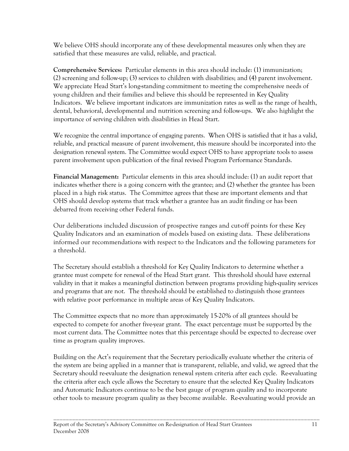We believe OHS should incorporate any of these developmental measures only when they are satisfied that these measures are valid, reliable, and practical.

**Comprehensive Services:** Particular elements in this area should include: (1) immunization; (2) screening and follow-up; (3) services to children with disabilities; and (4) parent involvement. We appreciate Head Start's long-standing commitment to meeting the comprehensive needs of young children and their families and believe this should be represented in Key Quality Indicators. We believe important indicators are immunization rates as well as the range of health, dental, behavioral, developmental and nutrition screening and follow-ups. We also highlight the importance of serving children with disabilities in Head Start.

We recognize the central importance of engaging parents. When OHS is satisfied that it has a valid, reliable, and practical measure of parent involvement, this measure should be incorporated into the designation renewal system. The Committee would expect OHS to have appropriate tools to assess parent involvement upon publication of the final revised Program Performance Standards.

**Financial Management:** Particular elements in this area should include: (1) an audit report that indicates whether there is a going concern with the grantee; and (2) whether the grantee has been placed in a high risk status. The Committee agrees that these are important elements and that OHS should develop systems that track whether a grantee has an audit finding or has been debarred from receiving other Federal funds.

a threshold. Our deliberations included discussion of prospective ranges and cut-off points for these Key Quality Indicators and an examination of models based on existing data. These deliberations informed our recommendations with respect to the Indicators and the following parameters for

The Secretary should establish a threshold for Key Quality Indicators to determine whether a grantee must compete for renewal of the Head Start grant. This threshold should have external validity in that it makes a meaningful distinction between programs providing high-quality services and programs that are not. The threshold should be established to distinguish those grantees with relative poor performance in multiple areas of Key Quality Indicators.

The Committee expects that no more than approximately 15-20% of all grantees should be expected to compete for another five-year grant. The exact percentage must be supported by the most current data. The Committee notes that this percentage should be expected to decrease over time as program quality improves.

Building on the Act's requirement that the Secretary periodically evaluate whether the criteria of the system are being applied in a manner that is transparent, reliable, and valid, we agreed that the Secretary should re-evaluate the designation renewal system criteria after each cycle. Re-evaluating the criteria after each cycle allows the Secretary to ensure that the selected Key Quality Indicators and Automatic Indicators continue to be the best gauge of program quality and to incorporate other tools to measure program quality as they become available. Re-evaluating would provide an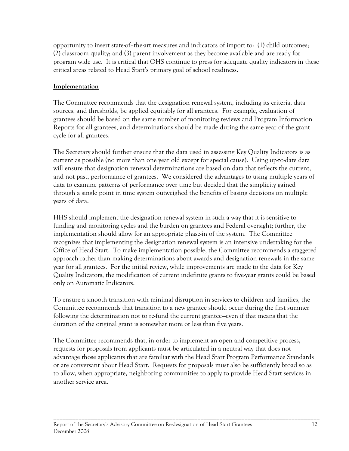opportunity to insert state-of–the-art measures and indicators of import to: (1) child outcomes; (2) classroom quality; and (3) parent involvement as they become available and are ready for program wide use. It is critical that OHS continue to press for adequate quality indicators in these critical areas related to Head Start's primary goal of school readiness.

# **Implementation**

The Committee recommends that the designation renewal system, including its criteria, data sources, and thresholds, be applied equitably for all grantees. For example, evaluation of grantees should be based on the same number of monitoring reviews and Program Information Reports for all grantees, and determinations should be made during the same year of the grant cycle for all grantees.

The Secretary should further ensure that the data used in assessing Key Quality Indicators is as current as possible (no more than one year old except for special cause). Using up-to-date data will ensure that designation renewal determinations are based on data that reflects the current, and not past, performance of grantees. We considered the advantages to using multiple years of data to examine patterns of performance over time but decided that the simplicity gained through a single point in time system outweighed the benefits of basing decisions on multiple years of data.

HHS should implement the designation renewal system in such a way that it is sensitive to funding and monitoring cycles and the burden on grantees and Federal oversight; further, the implementation should allow for an appropriate phase-in of the system. The Committee recognizes that implementing the designation renewal system is an intensive undertaking for the Office of Head Start. To make implementation possible, the Committee recommends a staggered approach rather than making determinations about awards and designation renewals in the same year for all grantees. For the initial review, while improvements are made to the data for Key Quality Indicators, the modification of current indefinite grants to five-year grants could be based only on Automatic Indicators.

To ensure a smooth transition with minimal disruption in services to children and families, the Committee recommends that transition to a new grantee should occur during the first summer following the determination not to re-fund the current grantee—even if that means that the duration of the original grant is somewhat more or less than five years.

The Committee recommends that, in order to implement an open and competitive process, requests for proposals from applicants must be articulated in a neutral way that does not advantage those applicants that are familiar with the Head Start Program Performance Standards or are conversant about Head Start. Requests for proposals must also be sufficiently broad so as to allow, when appropriate, neighboring communities to apply to provide Head Start services in another service area.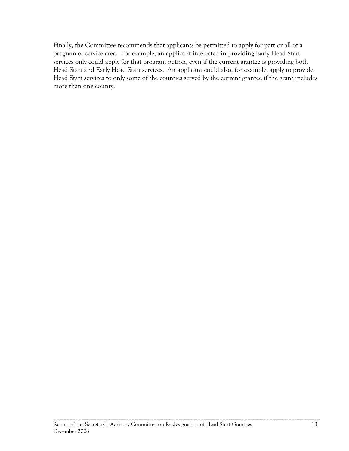Finally, the Committee recommends that applicants be permitted to apply for part or all of a program or service area. For example, an applicant interested in providing Early Head Start services only could apply for that program option, even if the current grantee is providing both Head Start and Early Head Start services. An applicant could also, for example, apply to provide Head Start services to only some of the counties served by the current grantee if the grant includes more than one county.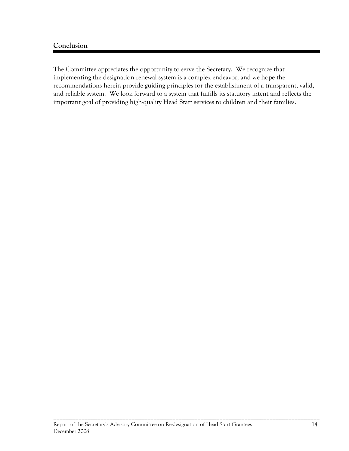# **Conclusion**

The Committee appreciates the opportunity to serve the Secretary. We recognize that implementing the designation renewal system is a complex endeavor, and we hope the recommendations herein provide guiding principles for the establishment of a transparent, valid, and reliable system. We look forward to a system that fulfills its statutory intent and reflects the important goal of providing high-quality Head Start services to children and their families.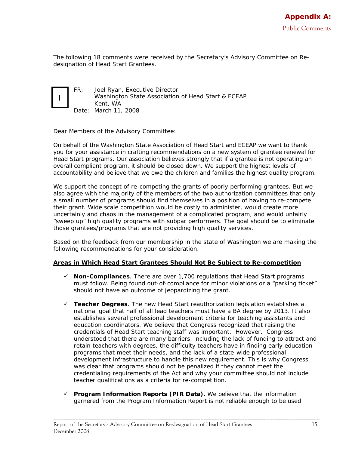*The following 18 comments were received by the Secretary's Advisory Committee on Redesignation of Head Start Grantees.* 

1

FR: Joel Ryan, Executive Director Washington State Association of Head Start & ECEAP Kent, WA Date: March 11, 2008

Dear Members of the Advisory Committee:

On behalf of the Washington State Association of Head Start and ECEAP we want to thank you for your assistance in crafting recommendations on a new system of grantee renewal for Head Start programs. Our association believes strongly that if a grantee is not operating an overall compliant program, it should be closed down. We support the highest levels of accountability and believe that we owe the children and families the highest quality program.

We support the concept of re-competing the grants of poorly performing grantees. But we also agree with the majority of the members of the two authorization committees that only a small number of programs should find themselves in a position of having to re-compete their grant. Wide scale competition would be costly to administer, would create more uncertainly and chaos in the management of a complicated program, and would unfairly "sweep up" high quality programs with subpar performers. The goal should be to eliminate those grantees/programs that are not providing high quality services.

Based on the feedback from our membership in the state of Washington we are making the following recommendations for your consideration.

### **Areas in Which Head Start Grantees Should Not Be Subject to Re-competition**

- $\checkmark$  **Non-Compliances**. There are over 1,700 regulations that Head Start programs must follow. Being found out-of-compliance for minor violations or a "parking ticket" should not have an outcome of jeopardizing the grant.
- 9 **Teacher Degrees**. The new Head Start reauthorization legislation establishes a national goal that half of all lead teachers must have a BA degree by 2013. It also establishes several professional development criteria for teaching assistants and education coordinators. We believe that Congress recognized that raising the credentials of Head Start teaching staff was important. However, Congress understood that there are many barriers, including the lack of funding to attract and retain teachers with degrees, the difficulty teachers have in finding early education programs that meet their needs, and the lack of a state-wide professional development infrastructure to handle this new requirement. This is why Congress was clear that programs should not be penalized if they cannot meet the credentialing requirements of the Act and why your committee should not include teacher qualifications as a criteria for re-competition.
- 9 **Program Information Reports (PIR Data).** We believe that the information garnered from the Program Information Report is not reliable enough to be used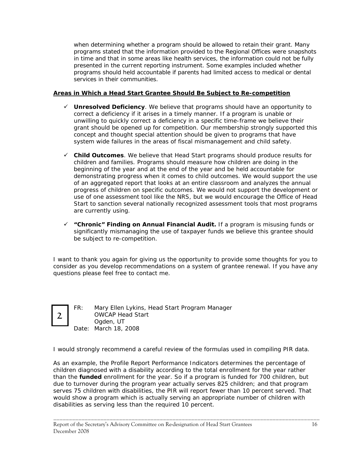when determining whether a program should be allowed to retain their grant. Many programs stated that the information provided to the Regional Offices were snapshots in time and that in some areas like health services, the information could not be fully presented in the current reporting instrument. Some examples included whether programs should held accountable if parents had limited access to medical or dental services in their communities.

### **Areas in Which a Head Start Grantee Should Be Subject to Re-competition**

- $\checkmark$  Unresolved Deficiency. We believe that programs should have an opportunity to correct a deficiency if it arises in a timely manner. If a program is unable or unwilling to quickly correct a deficiency in a specific time-frame we believe their grant should be opened up for competition. Our membership strongly supported this concept and thought special attention should be given to programs that have system wide failures in the areas of fiscal mismanagement and child safety.
- are currently using. 9 **Child Outcomes**. We believe that Head Start programs should produce results for children and families. Programs should measure how children are doing in the beginning of the year and at the end of the year and be held accountable for demonstrating progress when it comes to child outcomes. We would support the use of an aggregated report that looks at an entire classroom and analyzes the annual progress of children on specific outcomes. We would not support the development or use of one assessment tool like the NRS, but we would encourage the Office of Head Start to sanction several nationally recognized assessment tools that most programs
- 9 **"Chronic" Finding on Annual Financial Audit.** If a program is misusing funds or significantly mismanaging the use of taxpayer funds we believe this grantee should be subject to re-competition.

I want to thank you again for giving us the opportunity to provide some thoughts for you to consider as you develop recommendations on a system of grantee renewal. If you have any questions please feel free to contact me.



FR: Mary Ellen Lykins, Head Start Program Manager OWCAP Head Start Ogden, UT Date: March 18, 2008

I would strongly recommend a careful review of the formulas used in compiling PIR data.

As an example, the Profile Report Performance Indicators determines the percentage of children diagnosed with a disability according to the total enrollment for the year rather than the *funded* enrollment for the year. So if a program is funded for 700 children, but due to turnover during the program year actually serves 825 children; and that program serves 75 children with disabilities, the PIR will report fewer than 10 percent served. That would show a program which is actually serving an appropriate number of children with disabilities as serving less than the required 10 percent.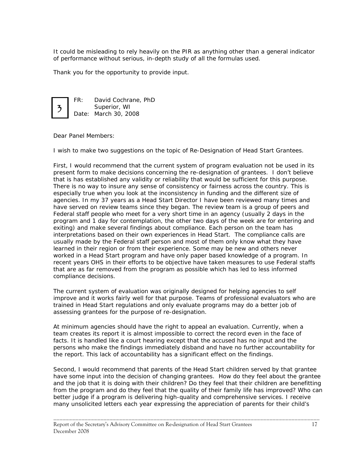It could be misleading to rely heavily on the PIR as anything other than a general indicator of performance without serious, in-depth study of all the formulas used.

Thank you for the opportunity to provide input.



FR: David Cochrane, PhD Superior, WI Date: March 30, 2008

Dear Panel Members:

I wish to make two suggestions on the topic of Re-Designation of Head Start Grantees.

 Federal staff people who meet for a very short time in an agency (usually 2 days in the First, I would recommend that the current system of program evaluation not be used in its present form to make decisions concerning the re-designation of grantees. I don't believe that is has established any validity or reliability that would be sufficient for this purpose. There is no way to insure any sense of consistency or fairness across the country. This is especially true when you look at the inconsistency in funding and the different size of agencies. In my 37 years as a Head Start Director I have been reviewed many times and have served on review teams since they began. The review team is a group of peers and program and 1 day for contemplation, the other two days of the week are for entering and exiting) and make several findings about compliance. Each person on the team has interpretations based on their own experiences in Head Start. The compliance calls are usually made by the Federal staff person and most of them only know what they have learned in their region or from their experience. Some may be new and others never worked in a Head Start program and have only paper based knowledge of a program. In recent years OHS in their efforts to be objective have taken measures to use Federal staffs that are as far removed from the program as possible which has led to less informed compliance decisions.

 The current system of evaluation was originally designed for helping agencies to self improve and it works fairly well for that purpose. Teams of professional evaluators who are trained in Head Start regulations and only evaluate programs may do a better job of assessing grantees for the purpose of re-designation.

At minimum agencies should have the right to appeal an evaluation. Currently, when a team creates its report it is almost impossible to correct the record even in the face of facts. It is handled like a court hearing except that the accused has no input and the persons who make the findings immediately disband and have no further accountability for the report. This lack of accountability has a significant effect on the findings.

Second, I would recommend that parents of the Head Start children served by that grantee have some input into the decision of changing grantees. How do they feel about the grantee and the job that it is doing with their children? Do they feel that their children are benefitting from the program and do they feel that the quality of their family life has improved? Who can better judge if a program is delivering high-quality and comprehensive services. I receive many unsolicited letters each year expressing the appreciation of parents for their child's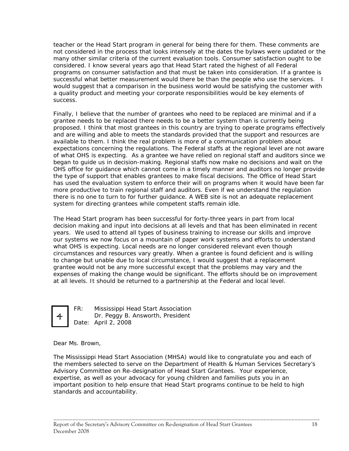teacher or the Head Start program in general for being there for them. These comments are not considered in the process that looks intensely at the dates the bylaws were updated or the many other similar criteria of the current evaluation tools. Consumer satisfaction ought to be considered. I know several years ago that Head Start rated the highest of all Federal programs on consumer satisfaction and that must be taken into consideration. If a grantee is successful what better measurement would there be than the people who use the services. I would suggest that a comparison in the business world would be satisfying the customer with a quality product and meeting your corporate responsibilities would be key elements of success.

Finally, I believe that the number of grantees who need to be replaced are minimal and if a grantee needs to be replaced there needs to be a better system than is currently being proposed. I think that most grantees in this country are trying to operate programs effectively and are willing and able to meets the standards provided that the support and resources are available to them. I think the real problem is more of a communication problem about expectations concerning the regulations. The Federal staffs at the regional level are not aware of what OHS is expecting. As a grantee we have relied on regional staff and auditors since we began to guide us in decision-making. Regional staffs now make no decisions and wait on the OHS office for guidance which cannot come in a timely manner and auditors no longer provide the type of support that enables grantees to make fiscal decisions. The Office of Head Start has used the evaluation system to enforce their will on programs when it would have been far more productive to train regional staff and auditors. Even if we understand the regulation there is no one to turn to for further guidance. A WEB site is not an adequate replacement system for directing grantees while competent staffs remain idle.

The Head Start program has been successful for forty-three years in part from local decision making and input into decisions at all levels and that has been eliminated in recent years. We used to attend all types of business training to increase our skills and improve our systems we now focus on a mountain of paper work systems and efforts to understand what OHS is expecting. Local needs are no longer considered relevant even though circumstances and resources vary greatly. When a grantee is found deficient and is willing to change but unable due to local circumstance, I would suggest that a replacement grantee would not be any more successful except that the problems may vary and the expenses of making the change would be significant. The efforts should be on improvement at all levels. It should be returned to a partnership at the Federal and local level.



FR: Mississippi Head Start Association 4 **Dr. Peggy B. Answorth, President** Date: April 2, 2008

Dear Ms. Brown,

The Mississippi Head Start Association (MHSA) would like to congratulate you and each of the members selected to serve on the Department of Health & Human Services Secretary's Advisory Committee on Re-designation of Head Start Grantees. Your experience, expertise, as well as your advocacy for young children and families puts you in an important position to help ensure that Head Start programs continue to be held to high standards and accountability.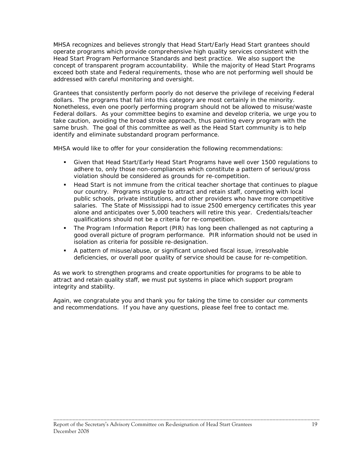concept of transparent program accountability. While the majority of Head Start Programs MHSA recognizes and believes strongly that Head Start/Early Head Start grantees should operate programs which provide comprehensive high quality services consistent with the Head Start Program Performance Standards and best practice. We also support the exceed both state and Federal requirements, those who are not performing well should be addressed with careful monitoring and oversight.

 Federal dollars. As your committee begins to examine and develop criteria, we urge you to Grantees that consistently perform poorly do not deserve the privilege of receiving Federal dollars. The programs that fall into this category are most certainly in the minority. Nonetheless, even one poorly performing program should not be allowed to misuse/waste take caution, avoiding the broad stroke approach, thus painting every program with the same brush. The goal of this committee as well as the Head Start community is to help identify and eliminate substandard program performance.

MHSA would like to offer for your consideration the following recommendations:

- Given that Head Start/Early Head Start Programs have well over 1500 regulations to adhere to, only those non-compliances which constitute a pattern of serious/gross violation should be considered as grounds for re-competition.
- our country. Programs struggle to attract and retain staff, competing with local Head Start is not immune from the critical teacher shortage that continues to plague public schools, private institutions, and other providers who have more competitive salaries. The State of Mississippi had to issue 2500 emergency certificates this year alone and anticipates over 5,000 teachers will retire this year. Credentials/teacher qualifications should not be a criteria for re-competition.
- The Program Information Report (PIR) has long been challenged as not capturing a good overall picture of program performance. PIR information should not be used in isolation as criteria for possible re-designation.
- A pattern of misuse/abuse, or significant unsolved fiscal issue, irresolvable deficiencies, or overall poor quality of service should be cause for re-competition.

As we work to strengthen programs and create opportunities for programs to be able to attract and retain quality staff, we must put systems in place which support program integrity and stability.

Again, we congratulate you and thank you for taking the time to consider our comments and recommendations. If you have any questions, please feel free to contact me.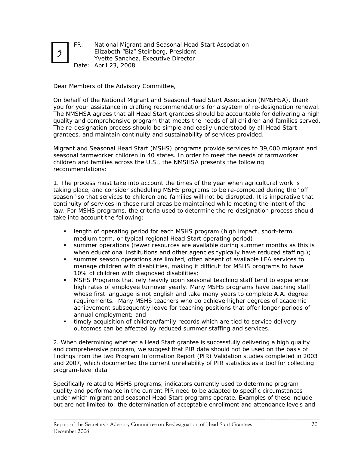

FR: National Migrant and Seasonal Head Start Association Elizabeth "Biz" Steinberg, President Yvette Sanchez, Executive Director Date: April 23, 2008

Dear Members of the Advisory Committee,

On behalf of the National Migrant and Seasonal Head Start Association (NMSHSA), thank you for your assistance in drafting recommendations for a system of re-designation renewal. The NMSHSA agrees that all Head Start grantees should be accountable for delivering a high quality and comprehensive program that meets the needs of all children and families served. The re-designation process should be simple and easily understood by all Head Start grantees, and maintain continuity and sustainability of services provided.

Migrant and Seasonal Head Start (MSHS) programs provide services to 39,000 migrant and seasonal farmworker children in 40 states. In order to meet the needs of farmworker children and families across the U.S., the NMSHSA presents the following recommendations:

1. The process must take into account the times of the year when agricultural work is taking place, and consider scheduling MSHS programs to be re-competed during the "off season" so that services to children and families will not be disrupted. It is imperative that continuity of services in these rural areas be maintained while meeting the intent of the law. For MSHS programs, the criteria used to determine the re-designation process should take into account the following:

- length of operating period for each MSHS program (high impact, short-term, medium term, or typical regional Head Start operating period);
- summer operations (fewer resources are available during summer months as this is when educational institutions and other agencies typically have reduced staffing.);
- summer season operations are limited, often absent of available LEA services to manage children with disabilities, making it difficult for MSHS programs to have 10% of children with diagnosed disabilities;
- MSHS Programs that rely heavily upon seasonal teaching staff tend to experience high rates of employee turnover yearly. Many MSHS programs have teaching staff whose first language is not English and take many years to complete A.A. degree requirements. Many MSHS teachers who do achieve higher degrees of academic achievement subsequently leave for teaching positions that offer longer periods of annual employment; and
- timely acquisition of children/family records which are tied to service delivery outcomes can be affected by reduced summer staffing and services.

program-level data. 2. When determining whether a Head Start grantee is successfully delivering a high quality and comprehensive program, we suggest that PIR data should not be used on the basis of findings from the two Program Information Report (PIR) Validation studies completed in 2003 and 2007, which documented the current unreliability of PIR statistics as a tool for collecting

Specifically related to MSHS programs, indicators currently used to determine program quality and performance in the current PIR need to be adapted to specific circumstances under which migrant and seasonal Head Start programs operate. Examples of these include but are not limited to: the determination of acceptable enrollment and attendance levels and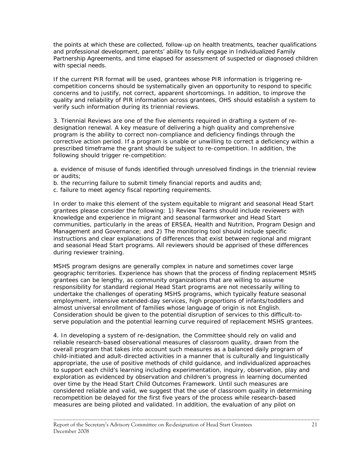the points at which these are collected, follow-up on health treatments, teacher qualifications and professional development, parents' ability to fully engage in Individualized Family Partnership Agreements, and time elapsed for assessment of suspected or diagnosed children with special needs.

If the current PIR format will be used, grantees whose PIR information is triggering recompetition concerns should be systematically given an opportunity to respond to specific concerns and to justify, not correct, apparent shortcomings. In addition, to improve the quality and reliability of PIR information across grantees, OHS should establish a system to verify such information during its triennial reviews.

3. Triennial Reviews are one of the five elements required in drafting a system of redesignation renewal. A key measure of delivering a high quality and comprehensive program is the ability to correct non-compliance and deficiency findings through the corrective action period. If a program is unable or unwilling to correct a deficiency within a prescribed timeframe the grant should be subject to re-competition. In addition, the following should trigger re-competition:

a. evidence of misuse of funds identified through unresolved findings in the triennial review or audits;

- b. the recurring failure to submit timely financial reports and audits and;
- c. failure to meet agency fiscal reporting requirements.

In order to make this element of the system equitable to migrant and seasonal Head Start grantees please consider the following: 1) Review Teams should include reviewers with knowledge and experience in migrant and seasonal farmworker and Head Start communities, particularly in the areas of ERSEA, Health and Nutrition, Program Design and Management and Governance; and 2) The monitoring tool should include specific instructions and clear explanations of differences that exist between regional and migrant and seasonal Head Start programs. All reviewers should be apprised of these differences during reviewer training.

 almost universal enrollment of families whose language of origin is not English. MSHS program designs are generally complex in nature and sometimes cover large geographic territories. Experience has shown that the process of finding replacement MSHS grantees can be lengthy, as community organizations that are willing to assume responsibility for standard regional Head Start programs are not necessarily willing to undertake the challenges of operating MSHS programs, which typically feature seasonal employment, intensive extended-day services, high proportions of infants/toddlers and Consideration should be given to the potential disruption of services to this difficult-toserve population and the potential learning curve required of replacement MSHS grantees.

 considered reliable and valid, we suggest that the use of classroom quality in determining 4. In developing a system of re-designation, the Committee should rely on valid and reliable research-based observational measures of classroom quality, drawn from the overall program that takes into account such measures as a balanced daily program of child-initiated and adult-directed activities in a manner that is culturally and linguistically appropriate, the use of positive methods of child guidance, and individualized approaches to support each child's learning including experimentation, inquiry, observation, play and exploration as evidenced by observation and children's progress in learning documented over time by the Head Start Child Outcomes Framework. Until such measures are recompetition be delayed for the first five years of the process while research-based measures are being piloted and validated. In addition, the evaluation of any pilot on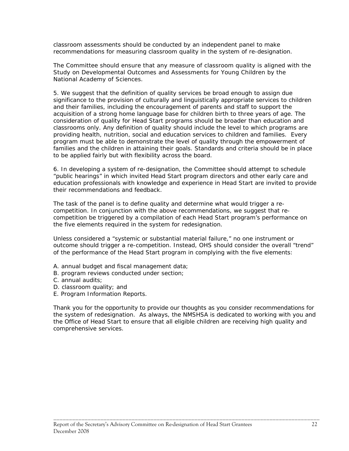classroom assessments should be conducted by an independent panel to make recommendations for measuring classroom quality in the system of re-designation.

The Committee should ensure that any measure of classroom quality is aligned with the Study on Developmental Outcomes and Assessments for Young Children by the National Academy of Sciences.

 significance to the provision of culturally and linguistically appropriate services to children 5. We suggest that the definition of quality services be broad enough to assign due and their families, including the encouragement of parents and staff to support the acquisition of a strong home language base for children birth to three years of age. The consideration of quality for Head Start programs should be broader than education and classrooms only. Any definition of quality should include the level to which programs are providing health, nutrition, social and education services to children and families. Every program must be able to demonstrate the level of quality through the empowerment of families and the children in attaining their goals. Standards and criteria should be in place to be applied fairly but with flexibility across the board.

6. In developing a system of re-designation, the Committee should attempt to schedule "public hearings" in which invited Head Start program directors and other early care and education professionals with knowledge and experience in Head Start are invited to provide their recommendations and feedback.

The task of the panel is to define quality and determine what would trigger a recompetition. In conjunction with the above recommendations, we suggest that recompetition be triggered by a compilation of each Head Start program's performance on the five elements required in the system for redesignation.

Unless considered a "systemic or substantial material failure," no one instrument or outcome should trigger a re-competition. Instead, OHS should consider the overall "trend" of the performance of the Head Start program in complying with the five elements:

- A. annual budget and fiscal management data;
- B. program reviews conducted under section;
- C. annual audits;
- D. classroom quality; and
- E. Program Information Reports.

Thank you for the opportunity to provide our thoughts as you consider recommendations for the system of redesignation. As always, the NMSHSA is dedicated to working with you and the Office of Head Start to ensure that all eligible children are receiving high quality and comprehensive services.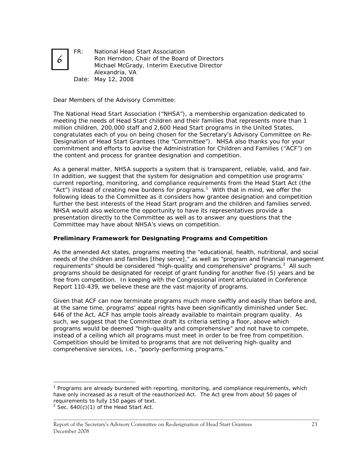

FR: National Head Start Association Ron Herndon, Chair of the Board of Directors Michael McGrady, Interim Executive Director Alexandria, VA Date: May 12, 2008

Dear Members of the Advisory Committee:

The National Head Start Association ("NHSA"), a membership organization dedicated to meeting the needs of Head Start children and their families that represents more than 1 million children, 200,000 staff and 2,600 Head Start programs in the United States, congratulates each of you on being chosen for the Secretary's Advisory Committee on Re-Designation of Head Start Grantees (the "Committee"). NHSA also thanks you for your commitment and efforts to advise the Administration for Children and Families ("ACF") on the content and process for grantee designation and competition.

As a general matter, NHSA supports a system that is transparent, reliable, valid, and fair.<br>In addition, we suggest that the system for designation and competition use programs' further the best interests of the Head Start program and the children and families served.<br>NHSA would also welcome the opportunity to have its representatives provide a current reporting, monitoring, and compliance requirements from the Head Start Act (the "Act") instead of creating new burdens for programs.<sup>1</sup> With that in mind, we offer the following ideas to the Committee as it considers how grantee designation and competition presentation directly to the Committee as well as to answer any questions that the Committee may have about NHSA's views on competition.

### **Preliminary Framework for Designating Programs and Competition**

As the amended Act states, programs meeting the "educational, health, nutritional, and social needs of the children and families [they serve]," as well as "program and financial management requirements" should be considered "high-quality and comprehensive" programs. $^2$  All such programs should be designated for receipt of grant funding for another five (5) years and be free from competition. In keeping with the Congressional intent articulated in Conference Report 110-439, we believe these are the vast majority of programs.

Given that ACF can now terminate programs much more swiftly and easily than before and, at the same time, programs' appeal rights have been significantly diminished under Sec. 646 of the Act, ACF has ample tools already available to maintain program quality. As such, we suggest that the Committee draft its criteria setting a *floor*, above which programs would be deemed "high-quality and comprehensive" and not have to compete, instead of a *ceiling* which all programs must meet in order to be free from competition. Competition should be limited to programs that are not delivering high-quality and comprehensive services, *i.e*., "poorly-performing programs."

\_\_\_\_\_\_\_\_\_\_\_\_\_\_\_\_\_\_\_\_\_\_\_\_\_\_\_\_\_\_\_\_\_\_\_\_\_\_\_\_\_\_\_\_\_\_\_\_\_\_\_\_\_\_\_\_\_\_\_\_\_\_\_\_\_\_\_\_\_\_\_\_\_\_\_\_\_\_\_\_\_\_\_\_\_

 $\overline{a}$ 

requirements to fully 150 pages of text.<br> $^{2}$  Sec. 640(c)(1) of the Head Start Act. <sup>1</sup> Programs are already burdened with reporting, monitoring, and compliance requirements, which have only increased as a result of the reauthorized Act. The Act grew from about 50 pages of

 $2$  Sec. 640(c)(1) of the Head Start Act.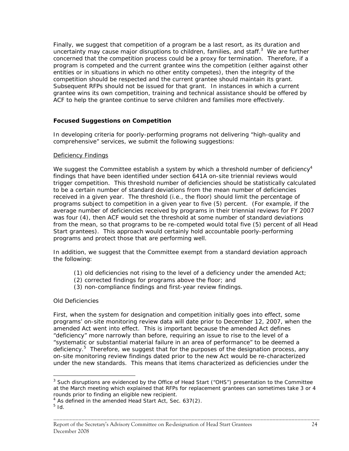competition should be respected and the current grantee should maintain its grant. Finally, we suggest that competition of a program be a last resort, as its duration and uncertainty may cause major disruptions to children, families, and staff. $3$  We are further concerned that the competition process could be a proxy for termination. Therefore, if a program is competed and the current grantee wins the competition (either against other entities or in situations in which no other entity competes), then the integrity of the Subsequent RFPs should not be issued for that grant. In instances in which a current grantee wins its own competition, training and technical assistance should be offered by ACF to help the grantee continue to serve children and families more effectively.

## **Focused Suggestions on Competition**

In developing criteria for poorly-performing programs not delivering "high-quality and comprehensive" services, we submit the following suggestions:

#### Deficiency Findings

 programs subject to competition in a given year to five (5) percent. (For example, if the We suggest the Committee establish a system by which a threshold number of deficiency<sup>4</sup> findings that have been identified under section 641A on-site triennial reviews would trigger competition. This threshold number of deficiencies should be statistically calculated to be a certain number of standard deviations from the mean number of deficiencies received in a given year. The threshold (*i.e*., the floor) should limit the percentage of average number of deficiencies received by programs in their triennial reviews for FY 2007 was four (4), then ACF would set the threshold at some number of standard deviations from the mean, so that programs to be re-competed would total five (5) percent of all Head Start grantees). This approach would certainly hold accountable poorly-performing programs and protect those that are performing well.

In addition, we suggest that the Committee exempt from a standard deviation approach the following:<br>(1) old deficiencies not rising to the level of a deficiency under the amended Act;

- 
- (2) corrected findings for programs above the floor; and
- (3) non-compliance findings and first-year review findings.

### *Old Deficiencies*

deficiency.<sup>5</sup> Therefore, we suggest that for the purposes of the designation process, any First, when the system for designation and competition initially goes into effect, some programs' on-site monitoring review data will date prior to December 12, 2007, when the amended Act went into effect. This is important because the amended Act defines "deficiency" more narrowly than before, requiring an issue to rise to the level of a "systematic or substantial material failure in an area of performance" to be deemed a on-site monitoring review findings dated prior to the new Act would be re-characterized under the new standards. This means that items characterized as deficiencies under the

\_\_\_\_\_\_\_\_\_\_\_\_\_\_\_\_\_\_\_\_\_\_\_\_\_\_\_\_\_\_\_\_\_\_\_\_\_\_\_\_\_\_\_\_\_\_\_\_\_\_\_\_\_\_\_\_\_\_\_\_\_\_\_\_\_\_\_\_\_\_\_\_\_\_\_\_\_\_\_\_\_\_\_\_\_

 $\overline{a}$ 

 $3$  Such disruptions are evidenced by the Office of Head Start ("OHS") presentation to the Committee at the March meeting which explained that RFPs for replacement grantees can sometimes take 3 or 4 rounds prior to finding an eligible new recipient.

<sup>4</sup> As defined in the amended Head Start Act, Sec. 637(2).

<sup>5</sup>*Id*.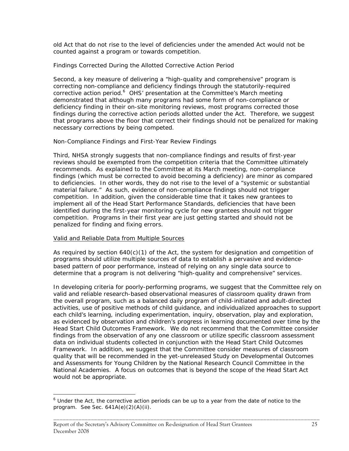old Act that do not rise to the level of deficiencies under the amended Act would not be counted against a program or towards competition.

## *Findings Corrected During the Allotted Corrective Action Period*

Second, a key measure of delivering a "high-quality and comprehensive" program is correcting non-compliance and deficiency findings through the statutorily-required corrective action period.<sup>6</sup> OHS' presentation at the Committee's March meeting demonstrated that although many programs had some form of non-compliance or deficiency finding in their on-site monitoring reviews, most programs corrected those findings during the corrective action periods allotted under the Act. Therefore, we suggest that programs above the floor that correct their findings should not be penalized for making necessary corrections by being competed.

## *Non-Compliance Findings and First-Year Review Findings*

 competition. Programs in their first year are just getting started and should not be Third, NHSA strongly suggests that non-compliance findings and results of first-year reviews should be exempted from the competition criteria that the Committee ultimately recommends. As explained to the Committee at its March meeting, non-compliance findings (which must be corrected to avoid becoming a deficiency) are minor as compared to deficiencies. In other words, they do not rise to the level of a "systemic or substantial material failure." As such, evidence of non-compliance findings should not trigger competition. In addition, given the considerable time that it takes new grantees to implement all of the Head Start Performance Standards, deficiencies that have been identified during the first-year monitoring cycle for new grantees should not trigger penalized for finding and fixing errors.

### Valid and Reliable Data from Multiple Sources

 $\overline{a}$ 

determine that a program is not delivering "high-quality and comprehensive" services. As required by section 640(c)(1) of the Act, the system for designation and competition of programs should utilize multiple sources of data to establish a pervasive and evidencebased pattern of poor performance, instead of relying on any single data source to

In developing criteria for poorly-performing programs, we suggest that the Committee rely on valid and reliable research-based observational measures of classroom quality drawn from the overall program, such as a balanced daily program of child-initiated and adult-directed activities, use of positive methods of child guidance, and individualized approaches to support each child's learning, including experimentation, inquiry, observation, play and exploration, as evidenced by observation and children's progress in learning documented over time by the Head Start Child Outcomes Framework. We do not recommend that the Committee consider findings from the observation of any one classroom or utilize specific classroom assessment data on individual students collected in conjunction with the Head Start Child Outcomes Framework. In addition, we suggest that the Committee consider measures of classroom quality that will be recommended in the yet-unreleased Study on Developmental Outcomes and Assessments for Young Children by the National Research Council Committee in the National Academies. A focus on outcomes that is beyond the scope of the Head Start Act would not be appropriate.

 program. *See* Sec. 641A(e)(2)(A)(ii).  $<sup>6</sup>$  Under the Act, the corrective action periods can be up to a year from the date of notice to the</sup>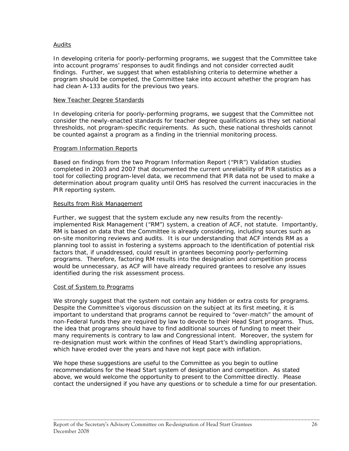## Audits

 findings. Further, we suggest that when establishing criteria to determine whether a In developing criteria for poorly-performing programs, we suggest that the Committee take into account programs' responses to audit findings and not consider corrected audit program should be competed, the Committee take into account whether the program has had clean A-133 audits for the previous two years.

### New Teacher Degree Standards

In developing criteria for poorly-performing programs, we suggest that the Committee not consider the newly-enacted standards for teacher degree qualifications as they set national thresholds, not program-specific requirements. As such, these national thresholds cannot be counted against a program as a finding in the triennial monitoring process.

### Program Information Reports

Based on findings from the two Program Information Report ("PIR") Validation studies completed in 2003 and 2007 that documented the current unreliability of PIR statistics as a tool for collecting program-level data, we recommend that PIR data not be used to make a determination about program quality until OHS has resolved the current inaccuracies in the PIR reporting system.

### Results from Risk Management

 programs. Therefore, factoring RM results into the designation and competition process Further, we suggest that the system exclude any new results from the recentlyimplemented Risk Management ("RM") system, a creation of ACF, not statute. Importantly, RM is based on data that the Committee is already considering, including sources such as on-site monitoring reviews and audits. It is our understanding that ACF intends RM as a planning tool to assist in fostering a systems approach to the identification of potential risk factors that, if unaddressed, could result in grantees becoming poorly-performing would be unnecessary, as ACF will have already required grantees to resolve any issues identified during the risk assessment process.

### Cost of System to Programs

We strongly suggest that the system not contain any hidden or extra costs for programs. Despite the Committee's vigorous discussion on the subject at its first meeting, it is important to understand that programs cannot be required to "over-match" the amount of non-Federal funds they are required by law to devote to their Head Start programs. Thus, the idea that programs should have to find additional sources of funding to meet their many requirements is contrary to law and Congressional intent. Moreover, the system for re-designation must work within the confines of Head Start's dwindling appropriations, which have eroded over the years and have not kept pace with inflation.

We hope these suggestions are useful to the Committee as you begin to outline recommendations for the Head Start system of designation and competition. As stated above, we would welcome the opportunity to present to the Committee directly. Please contact the undersigned if you have any questions or to schedule a time for our presentation.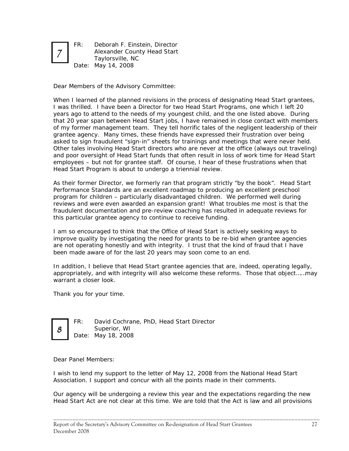

FR: Deborah F. Einstein, Director Alexander County Head Start Taylorsville, NC Date: May 14, 2008

Dear Members of the Advisory Committee:

asked to sign fraudulent "sign-in" sheets for trainings and meetings that were never held. When I learned of the planned revisions in the process of designating Head Start grantees, I was thrilled. I have been a Director for two Head Start Programs, one which I left 20 years ago to attend to the needs of my youngest child, and the one listed above. During that 20 year span between Head Start jobs, I have remained in close contact with members of my former management team. They tell horrific tales of the negligent leadership of their grantee agency. Many times, these friends have expressed their frustration over being Other tales involving Head Start directors who are never at the office (always out traveling) and poor oversight of Head Start funds that often result in loss of work time for Head Start employees – but not for grantee staff. Of course, I hear of these frustrations when that Head Start Program is about to undergo a triennial review.

 reviews and were even awarded an expansion grant! What troubles me most is that the As their former Director, we formerly ran that program strictly "by the book". Head Start Performance Standards are an excellent roadmap to producing an excellent preschool program for children – particularly disadvantaged children. We performed well during fraudulent documentation and pre-review coaching has resulted in adequate reviews for this particular grantee agency to continue to receive funding.

I am so encouraged to think that the Office of Head Start is actively seeking ways to improve quality by investigating the need for grants to be re-bid when grantee agencies are not operating honestly and with integrity. I trust that the kind of fraud that I have been made aware of for the last 20 years may soon come to an end.

In addition, I believe that Head Start grantee agencies that are, indeed, operating legally, appropriately, and with integrity will also welcome these reforms. Those that object……may warrant a closer look.

Thank you for your time.



FR: David Cochrane, PhD, Head Start Director  $\begin{array}{c|c}\n8 & \text{Superior, WI} \\
\hline\n\text{Date: May 18, 2008}\n\end{array}$ 

Dear Panel Members:

Association. I support and concur with all the points made in their comments. I wish to lend my support to the letter of May 12, 2008 from the National Head Start

Our agency will be undergoing a review this year and the expectations regarding the new Head Start Act are not clear at this time. We are told that the Act is law and all provisions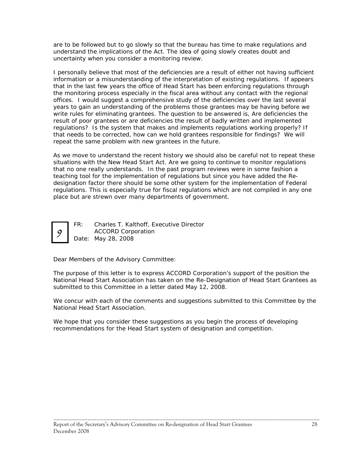are to be followed but to go slowly so that the bureau has time to make regulations and understand the implications of the Act. The idea of going slowly creates doubt and uncertainty when you consider a monitoring review.

I personally believe that most of the deficiencies are a result of either not having sufficient information or a misunderstanding of the interpretation of existing regulations. If appears that in the last few years the office of Head Start has been enforcing regulations through the monitoring process especially in the fiscal area without any contact with the regional offices. I would suggest a comprehensive study of the deficiencies over the last several years to gain an understanding of the problems those grantees may be having before we write rules for eliminating grantees. The question to be answered is, Are deficiencies the result of poor grantees or are deficiencies the result of badly written and implemented regulations? Is the system that makes and implements regulations working properly? If that needs to be corrected, how can we hold grantees responsible for findings? We will repeat the same problem with new grantees in the future.

As we move to understand the recent history we should also be careful not to repeat these situations with the New Head Start Act. Are we going to continue to monitor regulations that no one really understands. In the past program reviews were in some fashion a teaching tool for the implementation of regulations but since you have added the Redesignation factor there should be some other system for the implementation of Federal regulations. This is especially true for fiscal regulations which are not compiled in any one place but are strewn over many departments of government.



FR: Charles T. Kalthoff, Executive Director ACCORD Corporation Date: May 28, 2008

Dear Members of the Advisory Committee:

The purpose of this letter is to express ACCORD Corporation's support of the position the National Head Start Association has taken on the Re-Designation of Head Start Grantees as submitted to this Committee in a letter dated May 12, 2008.

We concur with each of the comments and suggestions submitted to this Committee by the National Head Start Association.

\_\_\_\_\_\_\_\_\_\_\_\_\_\_\_\_\_\_\_\_\_\_\_\_\_\_\_\_\_\_\_\_\_\_\_\_\_\_\_\_\_\_\_\_\_\_\_\_\_\_\_\_\_\_\_\_\_\_\_\_\_\_\_\_\_\_\_\_\_\_\_\_\_\_\_\_\_\_\_\_\_\_\_\_\_

 recommendations for the Head Start system of designation and competition. We hope that you consider these suggestions as you begin the process of developing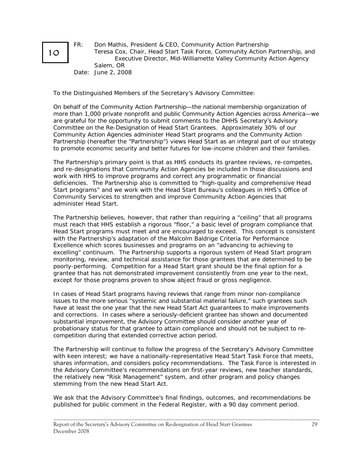

Ξ

FR: Don Mathis, President & CEO, Community Action Partnership Teresa Cox, Chair, Head Start Task Force, Community Action Partnership, and Executive Director, Mid-Williamette Valley Community Action Agency Salem, OR Date: June 2, 2008

To the Distinguished Members of the Secretary's Advisory Committee:

On behalf of the Community Action Partnership—the national membership organization of more than 1,000 private nonprofit and public Community Action Agencies across America—we are grateful for the opportunity to submit comments to the DHHS Secretary's Advisory Committee on the Re-Designation of Head Start Grantees. Approximately 30% of our Community Action Agencies administer Head Start programs and the Community Action Partnership (hereafter the "Partnership") views Head Start as an integral part of our strategy to promote economic security and better futures for low-income children and their families.

The Partnership's primary point is that as HHS conducts its grantee reviews, re-competes, and re-designations that Community Action Agencies be included in those discussions and work with HHS to improve programs and correct any programmatic or financial deficiencies. The Partnership also is committed to "high-quality and comprehensive Head Start programs" and we work with the Head Start Bureau's colleagues in HHS's Office of Community Services to strengthen and improve Community Action Agencies that administer Head Start.

 excelling" continuum. The Partnership supports a rigorous system of Head Start program The Partnership believes, however, that rather than requiring a "ceiling" that all programs must reach that HHS establish a rigorous "floor," a basic level of program compliance that Head Start programs must meet and are encouraged to exceed. This concept is consistent with the Partnership's adaptation of the Malcolm Baldrige Criteria for Performance Excellence which scores businesses and programs on an "advancing to achieving to monitoring, review, and technical assistance for those grantees that are determined to be poorly-performing. Competition for a Head Start grant should be the final option for a grantee that has not demonstrated improvement consistently from one year to the next, except for those programs proven to show abject fraud or gross negligence.

In cases of Head Start programs having reviews that range from minor non-compliance issues to the more serious "systemic and substantial material failure," such grantees such have at least the one year that the new Head Start Act guarantees to make improvements and corrections. In cases where a seriously-deficient grantee has shown and documented substantial improvement, the Advisory Committee should consider another year of probationary status for that grantee to attain compliance and should not be subject to recompetition during that extended corrective action period.

The Partnership will continue to follow the progress of the Secretary's Advisory Committee with keen interest; we have a nationally-representative Head Start Task Force that meets, shares information, and considers policy recommendations. The Task Force is interested in the Advisory Committee's recommendations on first-year reviews, new teacher standards, the relatively new "Risk Management" system, and other program and policy changes stemming from the new Head Start Act.

We ask that the Advisory Committee's final findings, outcomes, and recommendations be published for public comment in the Federal Register, with a 90 day comment period.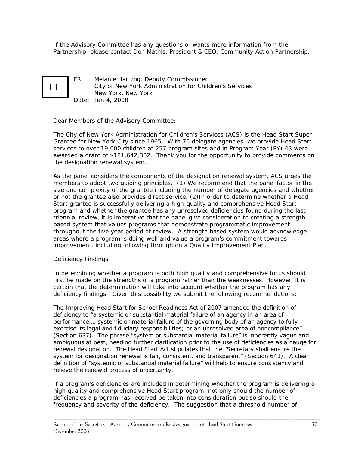If the Advisory Committee has any questions or wants more information from the Partnership, please contact Don Mathis, President & CEO, Community Action Partnership.

11

FR: Melanie Hartzog, Deputy Commissioner City of New York Administration for Children's Services New York, New York Date: Jun 4, 2008

Dear Members of the Advisory Committee:

The City of New York Administration for Children's Services (ACS) is the Head Start Super Grantee for New York City since 1965. With 76 delegate agencies, we provide Head Start services to over 19,000 children at 257 program sites and in Program Year (PY) 43 were awarded a grant of \$181,642,302. Thank you for the opportunity to provide comments on the designation renewal system.

As the panel considers the components of the designation renewal system, ACS urges the members to adopt two guiding principles. (1) We recommend that the panel factor in the size and complexity of the grantee including the number of delegate agencies and whether or not the grantee also provides direct service. (2)In order to determine whether a Head Start grantee is successfully delivering a high-quality and comprehensive Head Start program and whether the grantee has any unresolved deficiencies found during the last triennial review, it is imperative that the panel give consideration to creating a strength based system that values programs that demonstrate programmatic improvement throughout the five year period of review. A strength based system would acknowledge areas where a program is doing well and value a program's commitment towards improvement, including following through on a Quality Improvement Plan.

### Deficiency Findings

In determining whether a program is both high quality and comprehensive focus should first be made on the strengths of a program rather than the weaknesses. However, it is certain that the determination will take into account whether the program has any deficiency findings. Given this possibility we submit the following recommendations:

 (Section 637). The phrase "system or substantial material failure" is inherently vague and The Improving Head Start for School Readiness Act of 2007 amended the definition of deficiency to "a systemic or substantial material failure of an agency in an area of performance…, systemic or material failure of the governing body of an agency to fully exercise its legal and fiduciary responsibilities; or an unresolved area of noncompliance" ambiguous at best, needing further clarification prior to the use of deficiencies as a gauge for renewal designation. The Head Start Act stipulates that the "Secretary shall ensure the system for designation renewal is fair, consistent, and transparent" (Section 641). A clear definition of "systemic or substantial material failure" will help to ensure consistency and relieve the renewal process of uncertainty.

If a program's deficiencies are included in determining whether the program is delivering a high quality and comprehensive Head Start program, not only should the number of deficiencies a program has received be taken into consideration but so should the frequency and severity of the deficiency. The suggestion that a threshold number of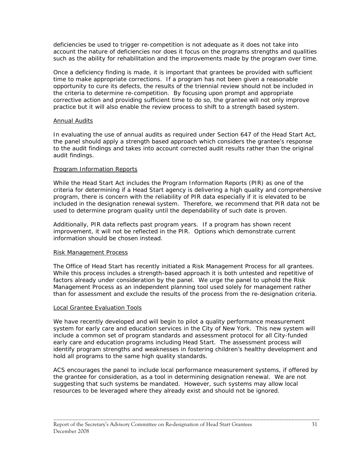deficiencies be used to trigger re-competition is not adequate as it does not take into account the nature of deficiencies nor does it focus on the programs strengths and qualities such as the ability for rehabilitation and the improvements made by the program over time.

 practice but it will also enable the review process to shift to a strength based system. Once a deficiency finding is made, it is important that grantees be provided with sufficient time to make appropriate corrections. If a program has not been given a reasonable opportunity to cure its defects, the results of the triennial review should not be included in the criteria to determine re-competition. By focusing upon prompt and appropriate corrective action and providing sufficient time to do so, the grantee will not only improve

## Annual Audits

In evaluating the use of annual audits as required under Section 647 of the Head Start Act, the panel should apply a strength based approach which considers the grantee's response to the audit findings and takes into account corrected audit results rather than the original audit findings.

## Program Information Reports

 used to determine program quality until the dependability of such date is proven. While the Head Start Act includes the Program Information Reports (PIR) as one of the criteria for determining if a Head Start agency is delivering a high quality and comprehensive program, there is concern with the reliability of PIR data especially if it is elevated to be included in the designation renewal system. Therefore, we recommend that PIR data not be

Additionally, PIR data reflects past program years. If a program has shown recent improvement, it will not be reflected in the PIR. Options which demonstrate current information should be chosen instead.

### Risk Management Process

The Office of Head Start has recently initiated a Risk Management Process for all grantees. While this process includes a strength-based approach it is both untested and repetitive of factors already under consideration by the panel. We urge the panel to uphold the Risk Management Process as an independent planning tool used solely for management rather than for assessment and exclude the results of the process from the re-designation criteria.

## Local Grantee Evaluation Tools

We have recently developed and will begin to pilot a quality performance measurement system for early care and education services in the City of New York. This new system will include a common set of program standards and assessment protocol for all City-funded early care and education programs including Head Start. The assessment process will identify program strengths and weaknesses in fostering children's healthy development and hold all programs to the same high quality standards.

ACS encourages the panel to include local performance measurement systems, if offered by the grantee for consideration, as a tool in determining designation renewal. We are not suggesting that such systems be mandated. However, such systems may allow local resources to be leveraged where they already exist and should not be ignored.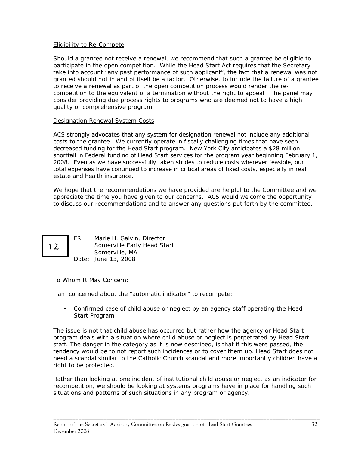### Eligibility to Re-Compete

Should a grantee not receive a renewal, we recommend that such a grantee be eligible to participate in the open competition. While the Head Start Act requires that the Secretary take into account "any past performance of such applicant", the fact that a renewal was not granted should not in and of itself be a factor. Otherwise, to include the failure of a grantee to receive a renewal as part of the open competition process would render the recompetition to the equivalent of a termination without the right to appeal. The panel may consider providing due process rights to programs who are deemed not to have a high quality or comprehensive program.

## Designation Renewal System Costs

ACS strongly advocates that any system for designation renewal not include any additional costs to the grantee. We currently operate in fiscally challenging times that have seen decreased funding for the Head Start program. New York City anticipates a \$28 million shortfall in Federal funding of Head Start services for the program year beginning February 1, 2008. Even as we have successfully taken strides to reduce costs wherever feasible, our total expenses have continued to increase in critical areas of fixed costs, especially in real estate and health insurance.

We hope that the recommendations we have provided are helpful to the Committee and we appreciate the time you have given to our concerns. ACS would welcome the opportunity to discuss our recommendations and to answer any questions put forth by the committee.

12

FR: Marie H. Galvin, Director Somerville Early Head Start Somerville, MA Date: June 13, 2008

To Whom It May Concern:

I am concerned about the "automatic indicator" to recompete:

 Confirmed case of child abuse or neglect by an agency staff operating the Head Start Program

The issue is not that child abuse has occurred but rather how the agency or Head Start program deals with a situation where child abuse or neglect is perpetrated by Head Start staff. The danger in the category as it is now described, is that if this were passed, the tendency would be to not report such incidences or to cover them up. Head Start does not need a scandal similar to the Catholic Church scandal and more importantly children have a right to be protected.

Rather than looking at one incident of institutional child abuse or neglect as an indicator for recompetition, we should be looking at systems programs have in place for handling such situations and patterns of such situations in any program or agency.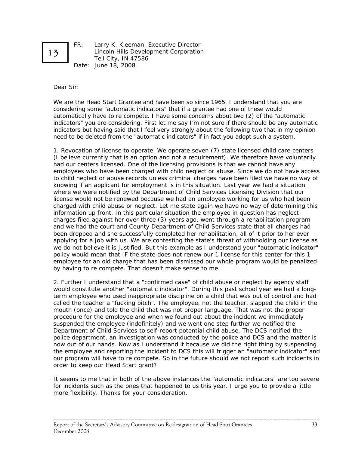

FR: Larry K. Kleeman, Executive Director Lincoln Hills Development Corporation Tell City, IN 47586 Date: June 18, 2008

Dear Sir:

 considering some "automatic indicators" that if a grantee had one of these would need to be deleted from the "automatic indicators" if in fact you adopt such a system. We are the Head Start Grantee and have been so since 1965. I understand that you are automatically have to re compete. I have some concerns about two (2) of the "automatic indicators" you are considering. First let me say I'm not sure if there should be any automatic indicators but having said that I feel very strongly about the following two that in my opinion

 and we had the court and County Department of Child Services state that all charges had 1. Revocation of license to operate. We operate seven (7) state licensed child care centers (I believe currently that is an option and not a requirement). We therefore have voluntarily had our centers licensed. One of the licensing provisions is that we cannot have any employees who have been charged with child neglect or abuse. Since we do not have access to child neglect or abuse records unless criminal charges have been filed we have no way of knowing if an applicant for employment is in this situation. Last year we had a situation where we were notified by the Department of Child Services Licensing Division that our license would not be renewed because we had an employee working for us who had been charged with child abuse or neglect. Let me state again we have no way of determining this information up front. In this particular situation the employee in question has neglect charges filed against her over three (3) years ago, went through a rehabilitation program been dropped and she successfully completed her rehabilitation, all of it prior to her ever applying for a job with us. We are contesting the state's threat of withholding our license as we do not believe it is justified. But this example as I understand your "automatic indicator" policy would mean that IF the state does not renew our 1 license for this center for this 1 employee for an old charge that has been dismissed our whole program would be penalized by having to re compete. That doesn't make sense to me.

2. Further I understand that a "confirmed case" of child abuse or neglect by agency staff would constitute another "automatic indicator". During this past school year we had a longterm employee who used inappropriate discipline on a child that was out of control and had called the teacher a "fucking bitch". The employee, not the teacher, slapped the child in the mouth (once) and told the child that was not proper language. That was not the proper procedure for the employee and when we found out about the incident we immediately suspended the employee (indefinitely) and we went one step further we notified the Department of Child Services to self-report potential child abuse. The DCS notified the police department, an investigation was conducted by the police and DCS and the matter is now out of our hands. Now as I understand it because we did the right thing by suspending the employee and reporting the incident to DCS this will trigger an "automatic indicator" and our program will have to re compete. So in the future should we not report such incidents in order to keep our Head Start grant?

It seems to me that in both of the above instances the "automatic indicators" are too severe for incidents such as the ones that happened to us this year. I urge you to provide a little more flexibility. Thanks for your consideration.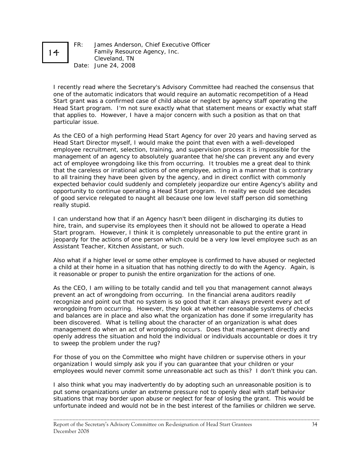# 14

FR: James Anderson, Chief Executive Officer Family Resource Agency, Inc. Cleveland, TN Date: June 24, 2008

I recently read where the Secretary's Advisory Committee had reached the consensus that one of the automatic indicators that would require an automatic recompetition of a Head Start grant was a confirmed case of child abuse or neglect by agency staff operating the Head Start program. I'm not sure exactly what that statement means or exactly what staff that applies to. However, I have a major concern with such a position as that on that particular issue.

As the CEO of a high performing Head Start Agency for over 20 years and having served as Head Start Director myself, I would make the point that even with a well-developed employee recruitment, selection, training, and supervision process it is impossible for the management of an agency to absolutely guarantee that he/she can prevent any and every act of employee wrongdoing like this from occurring. It troubles me a great deal to think that the careless or irrational actions of one employee, acting in a manner that is contrary to all training they have been given by the agency, and in direct conflict with commonly expected behavior could suddenly and completely jeopardize our entire Agency's ability and opportunity to continue operating a Head Start program. In reality we could see decades of good service relegated to naught all because one low level staff person did something really stupid.

 I can understand how that if an Agency hasn't been diligent in discharging its duties to jeopardy for the actions of one person which could be a very low level employee such as an hire, train, and supervise its employees then it should not be allowed to operate a Head Start program. However, I think it is completely unreasonable to put the entire grant in Assistant Teacher, Kitchen Assistant, or such.

Also what if a higher level or some other employee is confirmed to have abused or neglected a child at their home in a situation that has nothing directly to do with the Agency. Again, is it reasonable or proper to punish the entire organization for the actions of one.

 management do when an act of wrongdoing occurs. Does that management directly and As the CEO, I am willing to be totally candid and tell you that management cannot always prevent an act of wrongdoing from occurring. In the financial arena auditors readily recognize and point out that no system is so good that it can always prevent every act of wrongdoing from occurring. However, they look at whether reasonable systems of checks and balances are in place and also what the organization has done if some irregularity has been discovered. What is telling about the character of an organization is what does openly address the situation and hold the individual or individuals accountable or does it try to sweep the problem under the rug?

For those of you on the Committee who might have children or supervise others in your organization I would simply ask you if you can guarantee that your children or your employees would never commit some unreasonable act such as this? I don't think you can.

I also think what you may inadvertently do by adopting such an unreasonable position is to put some organizations under an extreme pressure not to openly deal with staff behavior situations that may border upon abuse or neglect for fear of losing the grant. This would be unfortunate indeed and would not be in the best interest of the families or children we serve.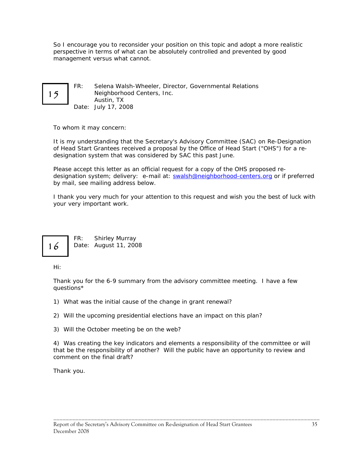So I encourage you to reconsider your position on this topic and adopt a more realistic perspective in terms of what can be absolutely controlled and prevented by good management versus what cannot.

FR: Selena Walsh-Wheeler, Director, Governmental Relations 15 Neighborhood Centers, Inc. Austin, TX Date: July 17, 2008

To whom it may concern:

It is my understanding that the Secretary's Advisory Committee (SAC) on Re-Designation of Head Start Grantees received a proposal by the Office of Head Start ("OHS") for a redesignation system that was considered by SAC this past June.

Please accept this letter as an official request for a copy of the OHS proposed redesignation system; delivery: e-mail at: [swalsh@neighborhood-centers.org](mailto:swalsh@neighborhood-centers.org) or if preferred by mail, see mailing address below.

 I thank you very much for your attention to this request and wish you the best of luck with your very important work.



 FR: Shirley Murray 16 Date: August 11, 2008

Hi:

Thank you for the 6-9 summary from the advisory committee meeting. I have a few questions\*

1) What was the initial cause of the change in grant renewal?

2) Will the upcoming presidential elections have an impact on this plan?

3) Will the October meeting be on the web?

4) Was creating the key indicators and elements a responsibility of the committee or will that be the responsibility of another? Will the public have an opportunity to review and comment on the final draft?

\_\_\_\_\_\_\_\_\_\_\_\_\_\_\_\_\_\_\_\_\_\_\_\_\_\_\_\_\_\_\_\_\_\_\_\_\_\_\_\_\_\_\_\_\_\_\_\_\_\_\_\_\_\_\_\_\_\_\_\_\_\_\_\_\_\_\_\_\_\_\_\_\_\_\_\_\_\_\_\_\_\_\_\_\_

Thank you.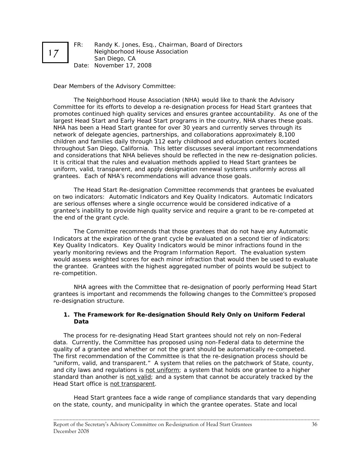FR: Randy K. Jones, Esq., Chairman, Board of Directors Neighborhood House Association San Diego, CA Date: November 17, 2008

Dear Members of the Advisory Committee:

 and considerations that NHA believes should be reflected in the new re-designation policies. The Neighborhood House Association (NHA) would like to thank the Advisory Committee for its efforts to develop a re-designation process for Head Start grantees that promotes continued high quality services and ensures grantee accountability. As one of the largest Head Start and Early Head Start programs in the country, NHA shares these goals. NHA has been a Head Start grantee for over 30 years and currently serves through its network of delegate agencies, partnerships, and collaborations approximately 8,100 children and families daily through 112 early childhood and education centers located throughout San Diego, California. This letter discusses several important recommendations It is critical that the rules and evaluation methods applied to Head Start grantees be uniform, valid, transparent, and apply designation renewal systems uniformly across all grantees. Each of NHA's recommendations will advance those goals.

The Head Start Re-designation Committee recommends that grantees be evaluated on two indicators: Automatic Indicators and Key Quality Indicators. Automatic Indicators are serious offenses where a single occurrence would be considered indicative of a grantee's inability to provide high quality service and require a grant to be re-competed at the end of the grant cycle.

The Committee recommends that those grantees that do not have any Automatic Indicators at the expiration of the grant cycle be evaluated on a second tier of indicators: Key Quality Indicators. Key Quality Indicators would be minor infractions found in the yearly monitoring reviews and the Program Information Report. The evaluation system would assess weighted scores for each minor infraction that would then be used to evaluate the grantee. Grantees with the highest aggregated number of points would be subject to re-competition.

NHA agrees with the Committee that re-designation of poorly performing Head Start grantees is important and recommends the following changes to the Committee's proposed re-designation structure.

## **1. The Framework for Re-designation Should Rely Only on Uniform Federal Data**

The process for re-designating Head Start grantees should not rely on non-Federal data. Currently, the Committee has proposed using non-Federal data to determine the quality of a grantee and whether or not the grant should be automatically re-competed. The first recommendation of the Committee is that the re-designation process should be "uniform, valid, and transparent." A system that relies on the patchwork of State, county, and city laws and regulations is *not uniform*; a system that holds one grantee to a higher standard than another is *not valid*; and a system that cannot be accurately tracked by the Head Start office is *not transparent*.

Head Start grantees face a wide range of compliance standards that vary depending on the state, county, and municipality in which the grantee operates. State and local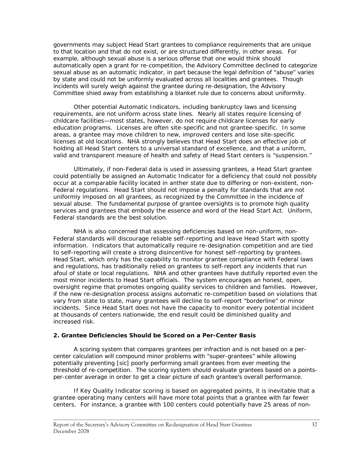governments may subject Head Start grantees to compliance requirements that are unique to that location and that do not exist, or are structured differently, in other areas. For example, although sexual abuse is a serious offense that one would think should automatically open a grant for re-competition, the Advisory Committee declined to categorize sexual abuse as an automatic indicator, in part because the legal definition of "abuse" varies by state and could not be uniformly evaluated across all localities and grantees. Though incidents will surely weigh against the grantee during re-designation, the Advisory Committee shied away from establishing a blanket rule due to concerns about uniformity.

Other potential Automatic Indicators, including bankruptcy laws and licensing requirements, are not uniform across state lines. Nearly all states require licensing of childcare facilities—most states, however, do not require childcare licenses for early education programs. Licenses are often site-specific and not grantee-specific. In some areas, a grantee may move children to new, improved centers and lose site-specific licenses at old locations. NHA strongly believes that Head Start does an effective job of holding all Head Start centers to a universal standard of excellence, and that a uniform, valid and transparent measure of health and safety of Head Start centers is "suspension."

Ultimately, if non-Federal data is used in assessing grantees, a Head Start grantee could potentially be assigned an Automatic Indicator for a deficiency that could not possibly occur at a comparable facility located in anther state due to differing or non-existent, non-Federal regulations. Head Start should not impose a penalty for standards that are not uniformly imposed on all grantees, as recognized by the Committee in the incidence of sexual abuse. The fundamental purpose of grantee oversights is to promote high quality services and grantees that embody the essence and word of the Head Start Act. Uniform, Federal standards are the best solution.

to self-reporting will create a strong disincentive for honest self-reporting by grantees. afoul of state or local regulations. NHA and other grantees have dutifully reported even the NHA is also concerned that assessing deficiencies based on non-uniform, non-Federal standards will discourage reliable self-reporting and leave Head Start with spotty information. Indicators that automatically require re-designation competition and are tied Head Start, which only has the capability to monitor grantee compliance with Federal laws and regulations, has traditionally relied on grantees to self-report any incidents that run most minor incidents to Head Start officials. The system encourages an honest, open, oversight regime that promotes ongoing quality services to children and families. However, if the new re-designation process assigns automatic re-competition based on violations that vary from state to state, many grantees will decline to self-report "borderline" or minor incidents. Since Head Start does not have the capacity to monitor every potential incident at thousands of centers nationwide, the end result could be diminished quality and increased risk.

### **2. Grantee Deficiencies Should be Scored on a Per-Center Basis**

A scoring system that compares grantees per infraction and is not based on a percenter calculation will compound minor problems with "super-grantees" while allowing potentially preventing [sic] poorly performing small grantees from ever meeting the threshold of re-competition. The scoring system should evaluate grantees based on a pointsper-center average in order to get a clear picture of each grantee's overall performance.

If Key Quality Indicator scoring is based on aggregated points, it is inevitable that a grantee operating many centers will have more total points that a grantee with far fewer centers. For instance, a grantee with 100 centers could potentially have 25 areas of non-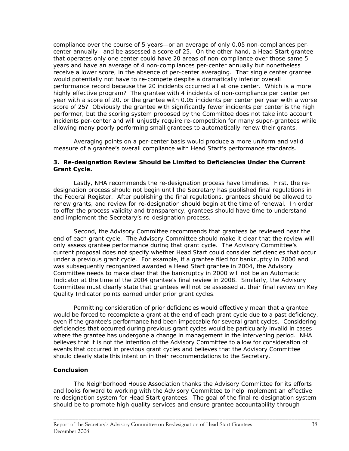compliance over the course of 5 years—or an average of only 0.05 non-compliances percenter annually—and be assessed a score of 25. On the other hand, a Head Start grantee that operates only one center could have 20 areas of non-compliance over those same 5 years and have an average of 4 non-compliances per-center annually but nonetheless receive a lower score, in the absence of per-center averaging. That single center grantee would potentially not have to re-compete despite a dramatically inferior overall performance record because the 20 incidents occurred all at one center. Which is a more highly effective program? The grantee with 4 incidents of non-compliance per center per year with a score of 20, or the grantee with 0.05 incidents per center per year with a worse score of 25? Obviously the grantee with significantly fewer incidents per center is the high performer, but the scoring system proposed by the Committee does not take into account incidents per-center and will unjustly require re-competition for many super-grantees while allowing many poorly performing small grantees to automatically renew their grants.

Averaging points on a per-center basis would produce a more uniform and valid measure of a grantee's overall compliance with Head Start's performance standards.

#### **3. Re-designation Review Should be Limited to Deficiencies Under the Current Grant Cycle.**

Lastly, NHA recommends the re-designation process have timelines. First, the redesignation process should not begin until the Secretary has published final regulations in the *Federal Register*. After publishing the final regulations, grantees should be allowed to renew grants, and review for re-designation should begin at the time of renewal. In order to offer the process validity and transparency, grantees should have time to understand and implement the Secretary's re-designation process.

Second, the Advisory Committee recommends that grantees be reviewed near the end of each grant cycle. The Advisory Committee should make it clear that the review will only assess grantee performance during that grant cycle. The Advisory Committee's current proposal does not specify whether Head Start could consider deficiencies that occur under a previous grant cycle. For example, if a grantee filed for bankruptcy in 2000 and was subsequently reorganized awarded a Head Start grantee in 2004, the Advisory Committee needs to make clear that the bankruptcy in 2000 will not be an Automatic Indicator at the time of the 2004 grantee's final review in 2008. Similarly, the Advisory Committee must clearly state that grantees will not be assessed at their final review on Key Quality Indicator points earned under prior grant cycles.

Permitting consideration of prior deficiencies would effectively mean that a grantee would be forced to recomplete a grant at the end of each grant cycle due to a past deficiency, even if the grantee's performance had been impeccable for several grant cycles. Considering deficiencies that occurred during previous grant cycles would be particularly invalid in cases where the grantee has undergone a change in management in the intervening period. NHA believes that it is not the intention of the Advisory Committee to allow for consideration of events that occurred in previous grant cycles and believes that the Advisory Committee should clearly state this intention in their recommendations to the Secretary.

### **Conclusion**

The Neighborhood House Association thanks the Advisory Committee for its efforts and looks forward to working with the Advisory Committee to help implement an effective re-designation system for Head Start grantees. The goal of the final re-designation system should be to promote high quality services and ensure grantee accountability through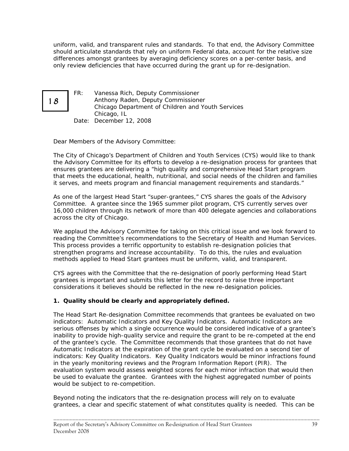uniform, valid, and transparent rules and standards. To that end, the Advisory Committee should articulate standards that rely on uniform Federal data, account for the relative size differences amongst grantees by averaging deficiency scores on a per-center basis, and only review deficiencies that have occurred during the grant up for re-designation.



FR: Vanessa Rich, Deputy Commissioner Anthony Raden, Deputy Commissioner Chicago Department of Children and Youth Services Chicago, IL Date: December 12, 2008

Dear Members of the Advisory Committee:

The City of Chicago's Department of Children and Youth Services (CYS) would like to thank the Advisory Committee for its efforts to develop a re-designation process for grantees that ensures grantees are delivering a "high quality and comprehensive Head Start program that meets the educational, health, nutritional, and social needs of the children and families it serves, and meets program and financial management requirements and standards."

As one of the largest Head Start "super-grantees," CYS shares the goals of the Advisory Committee. A grantee since the 1965 summer pilot program, CYS currently serves over 16,000 children through its network of more than 400 delegate agencies and collaborations across the city of Chicago.

 This process provides a terrific opportunity to establish re-designation policies that strengthen programs and increase accountability. To do this, the rules and evaluation We applaud the Advisory Committee for taking on this critical issue and we look forward to reading the Committee's recommendations to the Secretary of Health and Human Services. methods applied to Head Start grantees must be uniform, valid, and transparent.

CYS agrees with the Committee that the re-designation of poorly performing Head Start grantees is important and submits this letter for the record to raise three important considerations it believes should be reflected in the new re-designation policies.

# **1.** *Quality* **should be clearly and appropriately defined.**

The Head Start Re-designation Committee recommends that grantees be evaluated on two indicators: *Automatic Indicators* and *Key Quality Indicators*. Automatic Indicators are serious offenses by which a single occurrence would be considered indicative of a grantee's inability to provide high-quality service and require the grant to be re-competed at the end of the grantee's cycle. The Committee recommends that those grantees that do not have Automatic Indicators at the expiration of the grant cycle be evaluated on a second tier of indicators: Key Quality Indicators. Key Quality Indicators would be minor infractions found in the yearly monitoring reviews and the Program Information Report (PIR). The evaluation system would assess weighted scores for each minor infraction that would then be used to evaluate the grantee. Grantees with the highest aggregated number of points would be subject to re-competition.

 grantees, a clear and specific statement of what constitutes quality is needed. This can be Beyond noting the indicators that the re-designation process will rely on to evaluate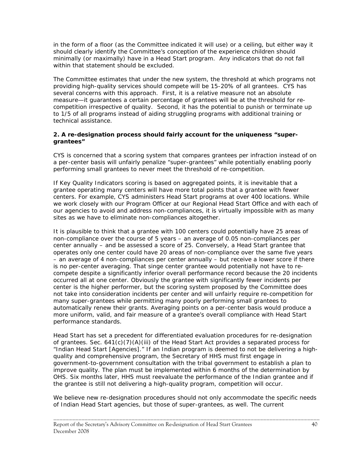in the form of a floor (as the Committee indicated it will use) or a ceiling, but either way it should clearly identify the Committee's conception of the experience children should minimally (or maximally) have in a Head Start program. Any indicators that do not fall within that statement should be excluded.

 providing high-quality services should compete will be 15-20% of all grantees. CYS has The Committee estimates that under the new system, the threshold at which programs not several concerns with this approach. First, it is a relative measure not an absolute measure—it guarantees a certain percentage of grantees will be at the threshold for recompetition irrespective of quality. Second, it has the potential to punish or terminate up to 1/5 of all programs instead of aiding struggling programs with additional training or technical assistance.

## **2. A re-designation process should fairly account for the uniqueness "supergrantees"**

CYS is concerned that a scoring system that compares grantees per infraction instead of on a per-center basis will unfairly penalize "super-grantees" while potentially enabling poorly performing small grantees to never meet the threshold of re-competition.

If Key Quality Indicators scoring is based on aggregated points, it is inevitable that a grantee operating many centers will have more total points that a grantee with fewer centers. For example, CYS administers Head Start programs at over 400 locations. While we work closely with our Program Officer at our Regional Head Start Office and with each of our agencies to avoid and address non-compliances, it is virtually impossible with as many sites as we have to eliminate non-compliances altogether.

It is plausible to think that a grantee with 100 centers could potentially have 25 areas of non-compliance over the course of 5 years – an average of 0.05 non-compliances per center annually – and be assessed a score of 25. Conversely, a Head Start grantee that operates only one center could have 20 areas of non-compliance over the same five years – an average of 4 non-compliances per center annually – but receive a lower score if there is no per-center averaging. That singe center grantee would potentially not have to recompete despite a significantly inferior overall performance record because the 20 incidents occurred all at one center. Obviously the grantee with significantly fewer incidents per center is the higher performer, but the scoring system proposed by the Committee does not take into consideration incidents per center and will unfairly require re-competition for many super-grantees while permitting many poorly performing small grantees to automatically renew their grants. Averaging points on a per-center basis would produce a more uniform, valid, and fair measure of a grantee's overall compliance with Head Start performance standards.

Head Start has set a precedent for differentiated evaluation procedures for re-designation of grantees. Sec. 641(c)(7)(A)(iii) of the Head Start Act provides a separated process for "Indian Head Start [Agencies]." If an Indian program is deemed to not be delivering a highquality and comprehensive program, the Secretary of HHS must first engage in government-to-government consultation with the tribal government to establish a plan to improve quality. The plan must be implemented within 6 months of the determination by OHS. Six months later, HHS must reevaluate the performance of the Indian grantee and if the grantee is still not delivering a high-quality program, competition will occur.

We believe new re-designation procedures should not only accommodate the specific needs of Indian Head Start agencies, but those of super-grantees, as well. The current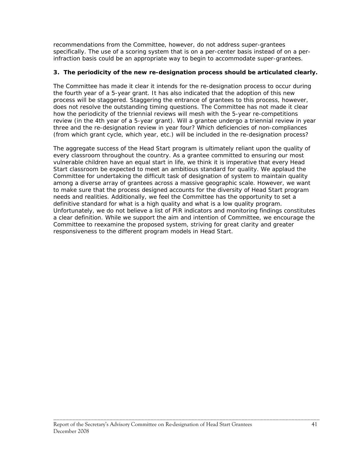recommendations from the Committee, however, do not address super-grantees specifically. The use of a scoring system that is on a per-center basis instead of on a perinfraction basis could be an appropriate way to begin to accommodate super-grantees.

## **3. The periodicity of the new re-designation process should be articulated clearly.**

The Committee has made it clear it intends for the re-designation process to occur during the fourth year of a 5-year grant. It has also indicated that the adoption of this new process will be staggered. Staggering the entrance of grantees to this process, however, does not resolve the outstanding timing questions. The Committee has not made it clear how the periodicity of the triennial reviews will mesh with the 5-year re-competitions review (in the 4th year of a 5-year grant). Will a grantee undergo a triennial review in year three and the re-designation review in year four? Which deficiencies of non-compliances (from which grant cycle, which year, etc.) will be included in the re-designation process?

The aggregate success of the Head Start program is ultimately reliant upon the quality of every classroom throughout the country. As a grantee committed to ensuring our most vulnerable children have an equal start in life, we think it is imperative that every Head Start classroom be expected to meet an ambitious standard for quality. We applaud the Committee for undertaking the difficult task of designation of system to maintain quality among a diverse array of grantees across a massive geographic scale. However, we want to make sure that the process designed accounts for the diversity of Head Start program needs and realities. Additionally, we feel the Committee has the opportunity to set a definitive standard for what is a high quality and what is a low quality program. Unfortunately, we do not believe a list of PIR indicators and monitoring findings constitutes a clear definition. While we support the aim and intention of Committee, we encourage the Committee to reexamine the proposed system, striving for great clarity and greater responsiveness to the different program models in Head Start.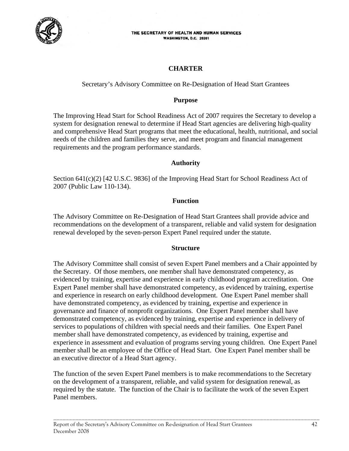

#### THE SECRETARY OF HEALTH AND HUMAN SERVICES **WASHINGTON, D.C. 20201**

# **CHARTER**

Secretary's Advisory Committee on Re-Designation of Head Start Grantees

## **Purpose**

The Improving Head Start for School Readiness Act of 2007 requires the Secretary to develop a system for designation renewal to determine if Head Start agencies are delivering high-quality and comprehensive Head Start programs that meet the educational, health, nutritional, and social needs of the children and families they serve, and meet program and financial management requirements and the program performance standards.

## **Authority**

Section 641(c)(2) [42 U.S.C. 9836] of the Improving Head Start for School Readiness Act of 2007 (Public Law 110-134).

## **Function**

The Advisory Committee on Re-Designation of Head Start Grantees shall provide advice and recommendations on the development of a transparent, reliable and valid system for designation renewal developed by the seven-person Expert Panel required under the statute.

## **Structure**

The Advisory Committee shall consist of seven Expert Panel members and a Chair appointed by the Secretary. Of those members, one member shall have demonstrated competency, as evidenced by training, expertise and experience in early childhood program accreditation. One Expert Panel member shall have demonstrated competency, as evidenced by training, expertise and experience in research on early childhood development. One Expert Panel member shall have demonstrated competency, as evidenced by training, expertise and experience in governance and finance of nonprofit organizations. One Expert Panel member shall have demonstrated competency, as evidenced by training, expertise and experience in delivery of services to populations of children with special needs and their families. One Expert Panel member shall have demonstrated competency, as evidenced by training, expertise and experience in assessment and evaluation of programs serving young children. One Expert Panel member shall be an employee of the Office of Head Start. One Expert Panel member shall be an executive director of a Head Start agency.

 Panel members. The function of the seven Expert Panel members is to make recommendations to the Secretary on the development of a transparent, reliable, and valid system for designation renewal, as required by the statute. The function of the Chair is to facilitate the work of the seven Expert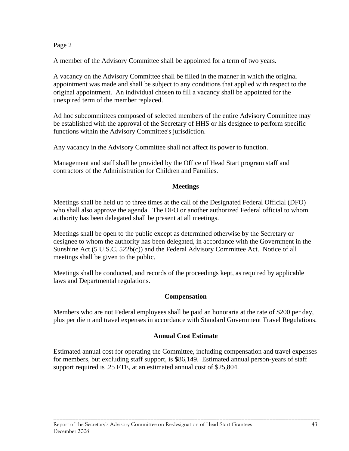# Page 2

A member of the Advisory Committee shall be appointed for a term of two years.

A vacancy on the Advisory Committee shall be filled in the manner in which the original appointment was made and shall be subject to any conditions that applied with respect to the original appointment. An individual chosen to fill a vacancy shall be appointed for the unexpired term of the member replaced.

Ad hoc subcommittees composed of selected members of the entire Advisory Committee may be established with the approval of the Secretary of HHS or his designee to perform specific functions within the Advisory Committee's jurisdiction.

Any vacancy in the Advisory Committee shall not affect its power to function.

Management and staff shall be provided by the Office of Head Start program staff and contractors of the Administration for Children and Families.

## **Meetings**

Meetings shall be held up to three times at the call of the Designated Federal Official (DFO) who shall also approve the agenda. The DFO or another authorized Federal official to whom authority has been delegated shall be present at all meetings.

Meetings shall be open to the public except as determined otherwise by the Secretary or designee to whom the authority has been delegated, in accordance with the Government in the Sunshine Act (5 U.S.C. 522b(c)) and the Federal Advisory Committee Act. Notice of all meetings shall be given to the public.

Meetings shall be conducted, and records of the proceedings kept, as required by applicable laws and Departmental regulations.

# **Compensation**

Members who are not Federal employees shall be paid an honoraria at the rate of \$200 per day, plus per diem and travel expenses in accordance with Standard Government Travel Regulations.

# **Annual Cost Estimate**

Estimated annual cost for operating the Committee, including compensation and travel expenses for members, but excluding staff support, is \$86,149. Estimated annual person-years of staff support required is .25 FTE, at an estimated annual cost of \$25,804.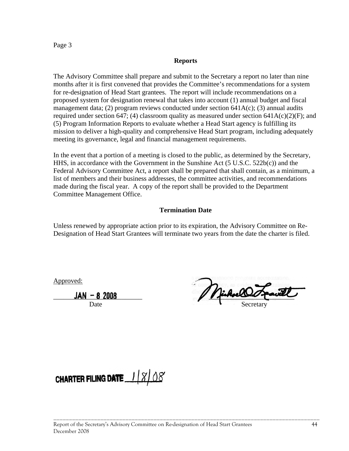<span id="page-46-0"></span>Page 3

## **Reports**

The Advisory Committee shall prepare and submit to the Secretary a report no later than nine months after it is first convened that provides the Committee's recommendations for a system for re-designation of Head Start grantees. The report will include recommendations on a proposed system for designation renewal that takes into account (1) annual budget and fiscal management data; (2) program reviews conducted under section  $641A(c)$ ; (3) annual audits required under section 647; (4) classroom quality as measured under section 641A(c)(2)(F); and (5) Program Information Reports to evaluate whether a Head Start agency is fulfilling its mission to deliver a high-quality and comprehensive Head Start program, including adequately meeting its governance, legal and financial management requirements.

In the event that a portion of a meeting is closed to the public, as determined by the Secretary, HHS, in accordance with the Government in the Sunshine Act (5 U.S.C. 522b(c)) and the Federal Advisory Committee Act, a report shall be prepared that shall contain, as a minimum, a list of members and their business addresses, the committee activities, and recommendations made during the fiscal year. A copy of the report shall be provided to the Department Committee Management Office.

# **Termination Date**

Unless renewed by appropriate action prior to its expiration, the Advisory Committee on Re-Designation of Head Start Grantees will terminate two years from the date the charter is filed.

Approved:

 $JAN - 82008$   $\boxed{\sqrt{4.4020}}$ Date Secretary

**CHARTER FILING DATE**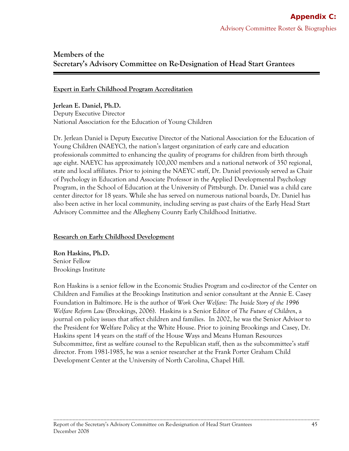# **Members of the Secretary's Advisory Committee on Re-Designation of Head Start Grantees**

## **Expert in Early Childhood Program Accreditation**

 **Jerlean E. Daniel, Ph.D.** Deputy Executive Director National Association for the Education of Young Children

Dr. Jerlean Daniel is Deputy Executive Director of the National Association for the Education of Young Children (NAEYC), the nation's largest organization of early care and education professionals committed to enhancing the quality of programs for children from birth through age eight. NAEYC has approximately 100,000 members and a national network of 350 regional, state and local affiliates. Prior to joining the NAEYC staff, Dr. Daniel previously served as Chair of Psychology in Education and Associate Professor in the Applied Developmental Psychology Program, in the School of Education at the University of Pittsburgh. Dr. Daniel was a child care center director for 18 years. While she has served on numerous national boards, Dr. Daniel has also been active in her local community, including serving as past chairs of the Early Head Start Advisory Committee and the Allegheny County Early Childhood Initiative.

## **Research on Early Childhood Development**

 **Ron Haskins, Ph.D.**  Senior Fellow Brookings Institute

Ron Haskins is a senior fellow in the Economic Studies Program and co-director of the Center on Children and Families at the Brookings Institution and senior consultant at the Annie E. Casey Foundation in Baltimore. He is the author of *Work Over Welfare: The Inside Story of the 1996 Welfare Reform Law* (Brookings, 2006). Haskins is a Senior Editor of *The Future of Children*, a journal on policy issues that affect children and families. In 2002, he was the Senior Advisor to the President for Welfare Policy at the White House. Prior to joining Brookings and Casey, Dr. Haskins spent 14 years on the staff of the House Ways and Means Human Resources Subcommittee, first as welfare counsel to the Republican staff, then as the subcommittee's staff director. From 1981-1985, he was a senior researcher at the Frank Porter Graham Child Development Center at the University of North Carolina, Chapel Hill.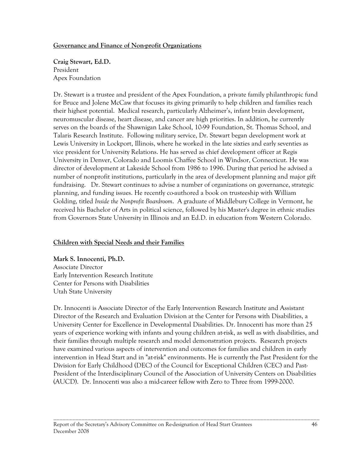## **Governance and Finance of Non-profit Organizations**

 **Craig Stewart, Ed.D.**  President Apex Foundation

Dr. Stewart is a trustee and president of the Apex Foundation, a private family philanthropic fund for Bruce and Jolene McCaw that focuses its giving primarily to help children and families reach their highest potential. Medical research, particularly Alzheimer's, infant brain development, neuromuscular disease, heart disease, and cancer are high priorities. In addition, he currently serves on the boards of the Shawnigan Lake School, 10-99 Foundation, St. Thomas School, and Talaris Research Institute. Following military service, Dr. Stewart began development work at Lewis University in Lockport, Illinois, where he worked in the late sixties and early seventies as vice president for University Relations. He has served as chief development officer at Regis University in Denver, Colorado and Loomis Chaffee School in Windsor, Connecticut. He was director of development at Lakeside School from 1986 to 1996. During that period he advised a number of nonprofit institutions, particularly in the area of development planning and major gift fundraising. Dr. Stewart continues to advise a number of organizations on governance, strategic planning, and funding issues. He recently co-authored a book on trusteeship with William Golding, titled *Inside the Nonprofit Boardroom*. A graduate of Middlebury College in Vermont, he received his Bachelor of Arts in political science, followed by his Master's degree in ethnic studies from Governors State University in Illinois and an Ed.D. in education from Western Colorado.

# **Children with Special Needs and their Families**

 **Mark S. Innocenti, Ph.D.**  Associate Director Early Intervention Research Institute Center for Persons with Disabilities Utah State University

Dr. Innocenti is Associate Director of the Early Intervention Research Institute and Assistant Director of the Research and Evaluation Division at the Center for Persons with Disabilities, a University Center for Excellence in Developmental Disabilities. Dr. Innocenti has more than 25 years of experience working with infants and young children at-risk, as well as with disabilities, and their families through multiple research and model demonstration projects. Research projects have examined various aspects of intervention and outcomes for families and children in early intervention in Head Start and in "at-risk" environments. He is currently the Past President for the Division for Early Childhood (DEC) of the Council for Exceptional Children (CEC) and Past-President of the Interdisciplinary Council of the Association of University Centers on Disabilities (AUCD). Dr. Innocenti was also a mid-career fellow with Zero to Three from 1999-2000.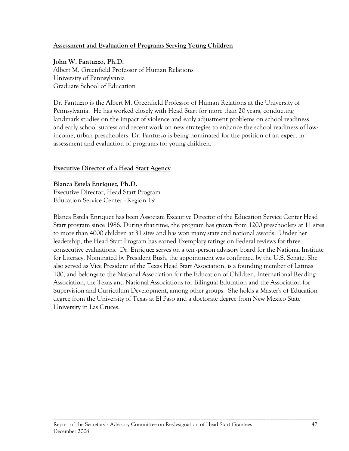## **Assessment and Evaluation of Programs Serving Young Children**

**John W. Fantuzzo, Ph.D.**  Albert M. Greenfield Professor of Human Relations University of Pennsylvania Graduate School of Education

Dr. Fantuzzo is the Albert M. Greenfield Professor of Human Relations at the University of Pennsylvania. He has worked closely with Head Start for more than 20 years, conducting landmark studies on the impact of violence and early adjustment problems on school readiness and early school success and recent work on new strategies to enhance the school readiness of lowincome, urban preschoolers. Dr. Fantuzzo is being nominated for the position of an expert in assessment and evaluation of programs for young children.

## **Executive Director of a Head Start Agency**

**Blanca Estela Enríquez, Ph.D.** Executive Director, Head Start Program Education Service Center - Region 19

Blanca Estela Enriquez has been Associate Executive Director of the Education Service Center Head Start program since 1986. During that time, the program has grown from 1200 preschoolers at 11 sites to more than 4000 children at 31 sites and has won many state and national awards. Under her leadership, the Head Start Program has earned Exemplary ratings on Federal reviews for three consecutive evaluations. Dr. Enriquez serves on a ten -person advisory board for the National Institute for Literacy. Nominated by President Bush, the appointment was confirmed by the U.S. Senate. She also served as Vice President of the Texas Head Start Association, is a founding member of Latinas 100, and belongs to the National Association for the Education of Children, International Reading Association, the Texas and National Associations for Bilingual Education and the Association for Supervision and Curriculum Development, among other groups. She holds a Master's of Education degree from the University of Texas at El Paso and a doctorate degree from New Mexico State University in Las Cruces.